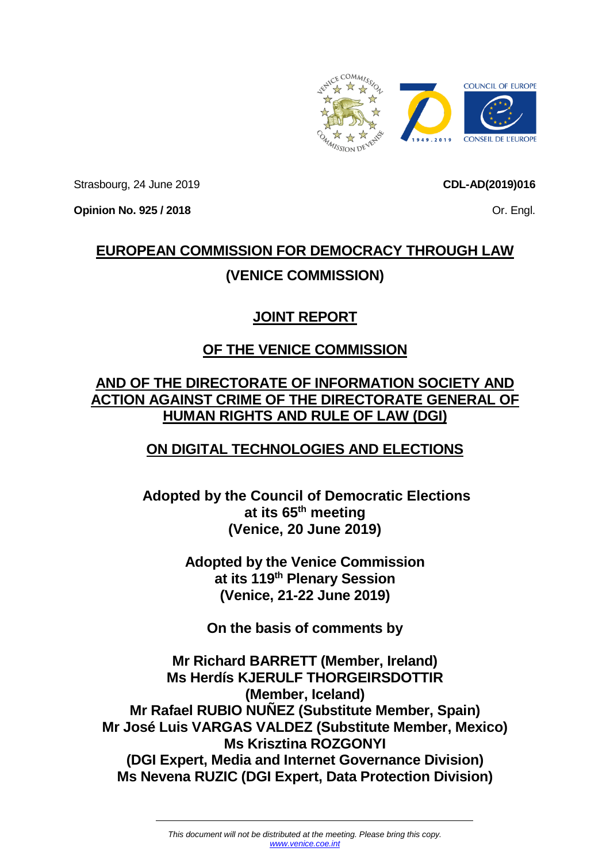

Strasbourg, 24 June 2019

**Opinion No. 925 / 2018**

**CDL-AD(2019)016**

Or. Engl.

# **EUROPEAN COMMISSION FOR DEMOCRACY THROUGH LAW (VENICE COMMISSION)**

# **JOINT REPORT**

# **OF THE VENICE COMMISSION**

# **AND OF THE DIRECTORATE OF INFORMATION SOCIETY AND ACTION AGAINST CRIME OF THE DIRECTORATE GENERAL OF HUMAN RIGHTS AND RULE OF LAW (DGI)**

# **ON DIGITAL TECHNOLOGIES AND ELECTIONS**

**Adopted by the Council of Democratic Elections at its 65th meeting (Venice, 20 June 2019)**

> **Adopted by the Venice Commission at its 119th Plenary Session (Venice, 21-22 June 2019)**

**On the basis of comments by**

**Mr Richard BARRETT (Member, Ireland) Ms Herdís KJERULF THORGEIRSDOTTIR (Member, Iceland) Mr Rafael RUBIO NUÑEZ (Substitute Member, Spain) Mr José Luis VARGAS VALDEZ (Substitute Member, Mexico) Ms Krisztina ROZGONYI (DGI Expert, Media and Internet Governance Division) Ms Nevena RUZIC (DGI Expert, Data Protection Division)**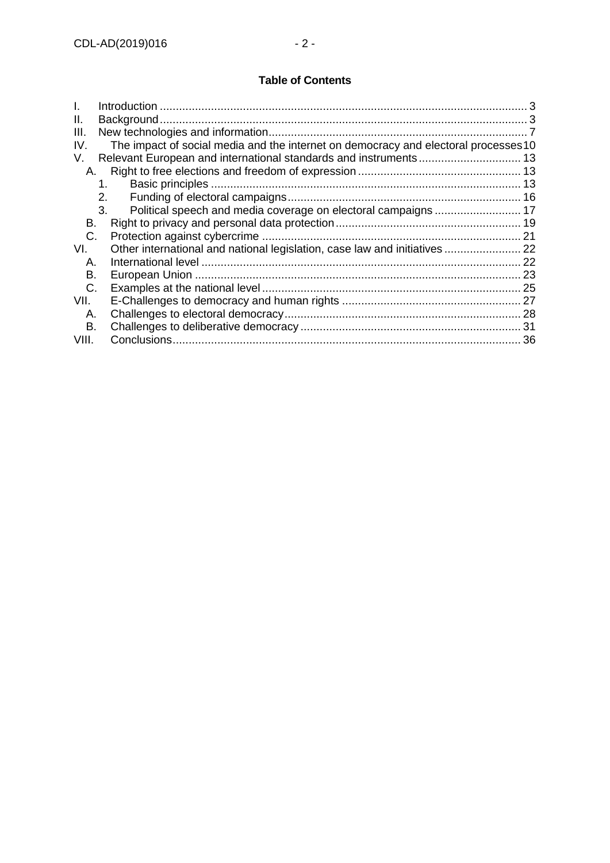# **Table of Contents**

| I.    |                                                                                     |  |
|-------|-------------------------------------------------------------------------------------|--|
| Ш.    |                                                                                     |  |
| III.  |                                                                                     |  |
| IV.   | The impact of social media and the internet on democracy and electoral processes 10 |  |
| V.    |                                                                                     |  |
| А.    |                                                                                     |  |
|       | 1.                                                                                  |  |
|       | 2.                                                                                  |  |
|       | 3.                                                                                  |  |
| В.    |                                                                                     |  |
| C.    |                                                                                     |  |
| VI.   | Other international and national legislation, case law and initiatives 22           |  |
| А.    |                                                                                     |  |
| В.    |                                                                                     |  |
| C.    |                                                                                     |  |
| VII.  |                                                                                     |  |
| Α.    |                                                                                     |  |
| В.    |                                                                                     |  |
| VIII. |                                                                                     |  |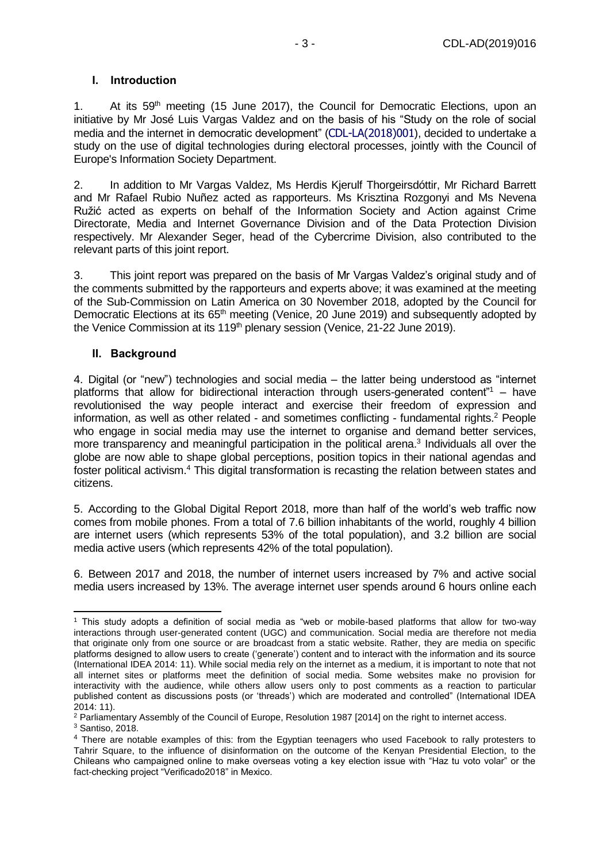#### <span id="page-2-0"></span>**I. Introduction**

1. At its 59<sup>th</sup> meeting (15 June 2017), the Council for Democratic Elections, upon an initiative by Mr José Luis Vargas Valdez and on the basis of his "Study on the role of social media and the internet in democratic development" (CDL-LA(2018)001), decided to undertake a study on the use of digital technologies during electoral processes, jointly with the Council of Europe's Information Society Department.

2. In addition to Mr Vargas Valdez, Ms Herdis Kjerulf Thorgeirsdóttir, Mr Richard Barrett and Mr Rafael Rubio Nuñez acted as rapporteurs. Ms Krisztina Rozgonyi and Ms Nevena Ružić acted as experts on behalf of the Information Society and Action against Crime Directorate, Media and Internet Governance Division and of the Data Protection Division respectively. Mr Alexander Seger, head of the Cybercrime Division, also contributed to the relevant parts of this joint report.

3. This joint report was prepared on the basis of Mr Vargas Valdez's original study and of the comments submitted by the rapporteurs and experts above; it was examined at the meeting of the Sub-Commission on Latin America on 30 November 2018, adopted by the Council for Democratic Elections at its 65<sup>th</sup> meeting (Venice, 20 June 2019) and subsequently adopted by the Venice Commission at its 119<sup>th</sup> plenary session (Venice, 21-22 June 2019).

#### <span id="page-2-1"></span>**II. Background**

4. Digital (or "new") technologies and social media – the latter being understood as "internet platforms that allow for bidirectional interaction through users-generated content<sup> $n_1$ </sup> – have revolutionised the way people interact and exercise their freedom of expression and information, as well as other related - and sometimes conflicting - fundamental rights.<sup>2</sup> People who engage in social media may use the internet to organise and demand better services, more transparency and meaningful participation in the political arena. 3 Individuals all over the globe are now able to shape global perceptions, position topics in their national agendas and foster political activism.<sup>4</sup> This digital transformation is recasting the relation between states and citizens.

5. According to the Global Digital Report 2018, more than half of the world's web traffic now comes from mobile phones. From a total of 7.6 billion inhabitants of the world, roughly 4 billion are internet users (which represents 53% of the total population), and 3.2 billion are social media active users (which represents 42% of the total population).

6. Between 2017 and 2018, the number of internet users increased by 7% and active social media users increased by 13%. The average internet user spends around 6 hours online each

<sup>1</sup> This study adopts a definition of social media as "web or mobile-based platforms that allow for two-way interactions through user-generated content (UGC) and communication. Social media are therefore not media that originate only from one source or are broadcast from a static website. Rather, they are media on specific platforms designed to allow users to create ('generate') content and to interact with the information and its source (International IDEA 2014: 11). While social media rely on the internet as a medium, it is important to note that not all internet sites or platforms meet the definition of social media. Some websites make no provision for interactivity with the audience, while others allow users only to post comments as a reaction to particular published content as discussions posts (or 'threads') which are moderated and controlled" (International IDEA 2014: 11).

<sup>&</sup>lt;sup>2</sup> Parliamentary Assembly of the Council of Europe, Resolution 1987 [2014] on the right to internet access.

<sup>3</sup> Santiso, 2018.

<sup>4</sup> There are notable examples of this: from the Egyptian teenagers who used Facebook to rally protesters to Tahrir Square, to the influence of disinformation on the outcome of the Kenyan Presidential Election, to the Chileans who campaigned online to make overseas voting a key election issue with "Haz tu voto volar" or the fact-checking project "Verificado2018" in Mexico.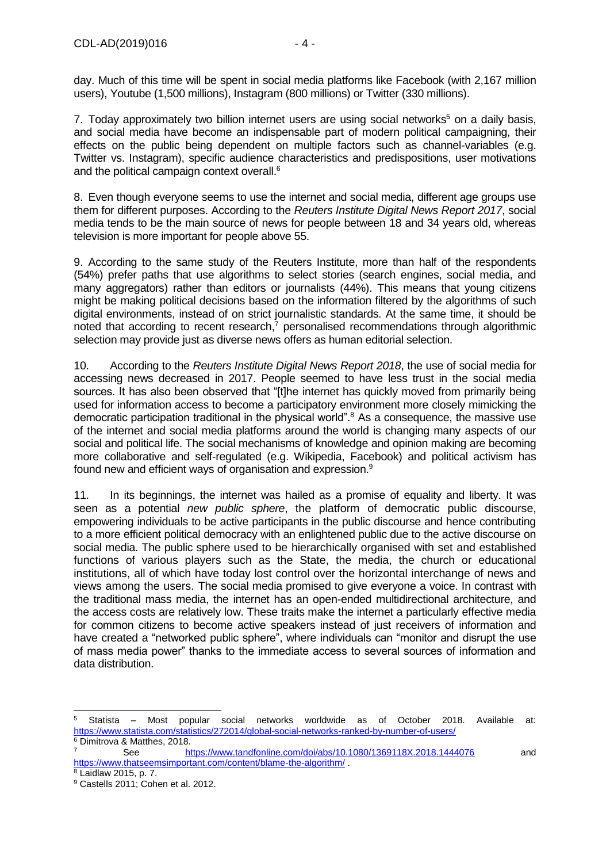day. Much of this time will be spent in social media platforms like Facebook (with 2,167 million users), Youtube (1,500 millions), Instagram (800 millions) or Twitter (330 millions).

7. Today approximately two billion internet users are using social networks<sup>5</sup> on a daily basis, and social media have become an indispensable part of modern political campaigning, their effects on the public being dependent on multiple factors such as channel-variables (e.g. Twitter vs. Instagram), specific audience characteristics and predispositions, user motivations and the political campaign context overall.<sup>6</sup>

8. Even though everyone seems to use the internet and social media, different age groups use them for different purposes. According to the *Reuters Institute Digital News Report 2017*, social media tends to be the main source of news for people between 18 and 34 years old, whereas television is more important for people above 55.

9. According to the same study of the Reuters Institute, more than half of the respondents (54%) prefer paths that use algorithms to select stories (search engines, social media, and many aggregators) rather than editors or journalists (44%). This means that young citizens might be making political decisions based on the information filtered by the algorithms of such digital environments, instead of on strict journalistic standards. At the same time, it should be noted that according to recent research,<sup>7</sup> personalised recommendations through algorithmic selection may provide just as diverse news offers as human editorial selection.

10. According to the *Reuters Institute Digital News Report 2018*, the use of social media for accessing news decreased in 2017. People seemed to have less trust in the social media sources. It has also been observed that "[t]he internet has quickly moved from primarily being used for information access to become a participatory environment more closely mimicking the democratic participation traditional in the physical world".<sup>8</sup> As a consequence, the massive use of the internet and social media platforms around the world is changing many aspects of our social and political life. The social mechanisms of knowledge and opinion making are becoming more collaborative and self-regulated (e.g. Wikipedia, Facebook) and political activism has found new and efficient ways of organisation and expression.<sup>9</sup>

11. In its beginnings, the internet was hailed as a promise of equality and liberty. It was seen as a potential *new public sphere*, the platform of democratic public discourse, empowering individuals to be active participants in the public discourse and hence contributing to a more efficient political democracy with an enlightened public due to the active discourse on social media. The public sphere used to be hierarchically organised with set and established functions of various players such as the State, the media, the church or educational institutions, all of which have today lost control over the horizontal interchange of news and views among the users. The social media promised to give everyone a voice. In contrast with the traditional mass media, the internet has an open-ended multidirectional architecture, and the access costs are relatively low. These traits make the internet a particularly effective media for common citizens to become active speakers instead of just receivers of information and have created a "networked public sphere", where individuals can "monitor and disrupt the use of mass media power" thanks to the immediate access to several sources of information and data distribution.

<sup>5</sup> Statista – Most popular social networks worldwide as of October 2018. Available at: <https://www.statista.com/statistics/272014/global-social-networks-ranked-by-number-of-users/> <sup>6</sup> Dimitrova & Matthes, 2018.

<sup>7</sup> See <https://www.tandfonline.com/doi/abs/10.1080/1369118X.2018.1444076> and <https://www.thatseemsimportant.com/content/blame-the-algorithm/> .

<sup>8</sup> Laidlaw 2015, p. 7.

<sup>9</sup> Castells 2011; Cohen et al. 2012.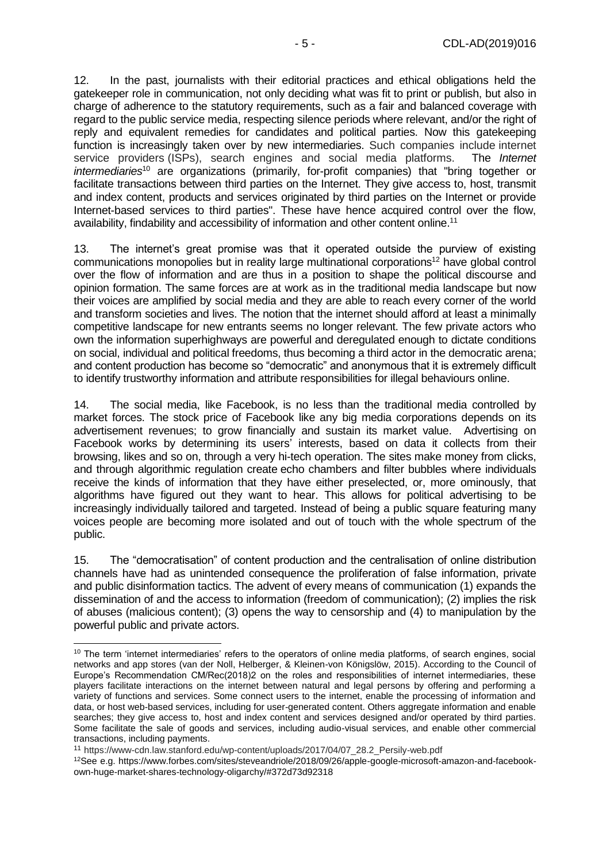12. In the past, journalists with their editorial practices and ethical obligations held the gatekeeper role in communication, not only deciding what was fit to print or publish, but also in charge of adherence to the statutory requirements, such as a fair and balanced coverage with regard to the public service media, respecting silence periods where relevant, and/or the right of reply and equivalent remedies for candidates and political parties. Now this gatekeeping function is increasingly taken over by new intermediaries. Such companies include internet service providers (ISPs), search engines and social media platforms. The *Internet intermediaries*<sup>10</sup> are organizations (primarily, for-profit companies) that "bring together or facilitate transactions between third parties on the Internet. They give access to, host, transmit and index content, products and services originated by third parties on the Internet or provide Internet-based services to third parties". These have hence acquired control over the flow, availability, findability and accessibility of information and other content online.<sup>11</sup>

13. The internet's great promise was that it operated outside the purview of existing communications monopolies but in reality large multinational corporations<sup>12</sup> have global control over the flow of information and are thus in a position to shape the political discourse and opinion formation. The same forces are at work as in the traditional media landscape but now their voices are amplified by social media and they are able to reach every corner of the world and transform societies and lives. The notion that the internet should afford at least a minimally competitive landscape for new entrants seems no longer relevant. The few private actors who own the information superhighways are powerful and deregulated enough to dictate conditions on social, individual and political freedoms, thus becoming a third actor in the democratic arena; and content production has become so "democratic" and anonymous that it is extremely difficult to identify trustworthy information and attribute responsibilities for illegal behaviours online.

14. The social media, like Facebook, is no less than the traditional media controlled by market forces. The stock price of Facebook like any big media corporations depends on its advertisement revenues; to grow financially and sustain its market value. Advertising on Facebook works by determining its users' interests, based on data it collects from their browsing, likes and so on, through a very hi-tech operation. The sites make money from clicks, and through algorithmic regulation create [echo chambers and filter bubbles](https://www.wired.com/2016/11/filter-bubble-destroying-democracy/) where individuals receive the kinds of information that they have either preselected, or, more ominously, that algorithms have figured out they want to hear. This allows for political advertising to be increasingly individually tailored and targeted. Instead of being a public square featuring many voices people are becoming more isolated and out of touch with the whole spectrum of the public.

15. The "democratisation" of content production and the centralisation of online distribution channels have had as unintended consequence the proliferation of false information, private and public disinformation tactics. The advent of every means of communication (1) expands the dissemination of and the access to information (freedom of communication); (2) implies the risk of abuses (malicious content); (3) opens the way to censorship and (4) to manipulation by the powerful public and private actors.

<sup>&</sup>lt;sup>10</sup> The term 'internet intermediaries' refers to the operators of online media platforms, of search engines, social networks and app stores (van der Noll, Helberger, & Kleinen-von Königslöw, 2015). According to the Council of Europe's Recommendation CM/Rec(2018)2 on the roles and responsibilities of internet intermediaries, these players facilitate interactions on the internet between natural and legal persons by offering and performing a variety of functions and services. Some connect users to the internet, enable the processing of information and data, or host web-based services, including for user-generated content. Others aggregate information and enable searches; they give access to, host and index content and services designed and/or operated by third parties. Some facilitate the sale of goods and services, including audio-visual services, and enable other commercial transactions, including payments.

<sup>11</sup> https://www-cdn.law.stanford.edu/wp-content/uploads/2017/04/07\_28.2\_Persily-web.pdf

<sup>12</sup>See e.g. https://www.forbes.com/sites/steveandriole/2018/09/26/apple-google-microsoft-amazon-and-facebookown-huge-market-shares-technology-oligarchy/#372d73d92318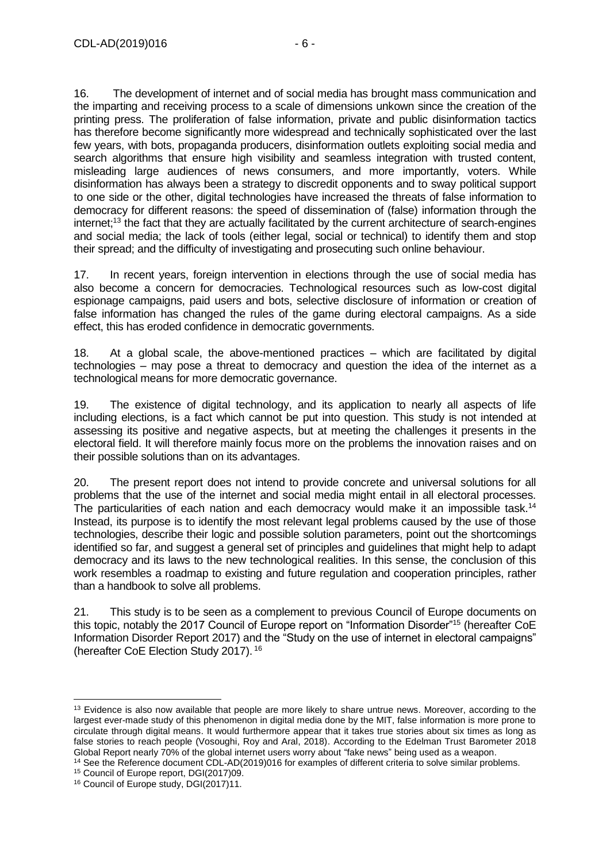16. The development of internet and of social media has brought mass communication and the imparting and receiving process to a scale of dimensions unkown since the creation of the printing press. The proliferation of false information, private and public disinformation tactics has therefore become significantly more widespread and technically sophisticated over the last few years, with bots, propaganda producers, disinformation outlets exploiting social media and search algorithms that ensure high visibility and seamless integration with trusted content, misleading large audiences of news consumers, and more importantly, voters. While disinformation has always been a strategy to discredit opponents and to sway political support to one side or the other, digital technologies have increased the threats of false information to democracy for different reasons: the speed of dissemination of (false) information through the internet;<sup>13</sup> the fact that they are actually facilitated by the current architecture of search-engines and social media; the lack of tools (either legal, social or technical) to identify them and stop their spread; and the difficulty of investigating and prosecuting such online behaviour.

17. In recent years, foreign intervention in elections through the use of social media has also become a concern for democracies. Technological resources such as low-cost digital espionage campaigns, paid users and bots, selective disclosure of information or creation of false information has changed the rules of the game during electoral campaigns. As a side effect, this has eroded confidence in democratic governments.

18. At a global scale, the above-mentioned practices – which are facilitated by digital technologies – may pose a threat to democracy and question the idea of the internet as a technological means for more democratic governance.

19. The existence of digital technology, and its application to nearly all aspects of life including elections, is a fact which cannot be put into question. This study is not intended at assessing its positive and negative aspects, but at meeting the challenges it presents in the electoral field. It will therefore mainly focus more on the problems the innovation raises and on their possible solutions than on its advantages.

20. The present report does not intend to provide concrete and universal solutions for all problems that the use of the internet and social media might entail in all electoral processes. The particularities of each nation and each democracy would make it an impossible task.<sup>14</sup> Instead, its purpose is to identify the most relevant legal problems caused by the use of those technologies, describe their logic and possible solution parameters, point out the shortcomings identified so far, and suggest a general set of principles and guidelines that might help to adapt democracy and its laws to the new technological realities. In this sense, the conclusion of this work resembles a roadmap to existing and future regulation and cooperation principles, rather than a handbook to solve all problems.

21. This study is to be seen as a complement to previous Council of Europe documents on this topic, notably the 2017 Council of Europe report on "Information Disorder"<sup>15</sup> (hereafter CoE Information Disorder Report 2017) and the "Study on the use of internet in electoral campaigns" (hereafter CoE Election Study 2017). 16

<sup>14</sup> See the Reference document CDL-AD(2019)016 for examples of different criteria to solve similar problems.

<sup>&</sup>lt;sup>13</sup> Evidence is also now available that people are more likely to share untrue news. Moreover, according to the largest ever-made study of this phenomenon in digital media done by the MIT, false information is more prone to circulate through digital means. It would furthermore appear that it takes true stories about six times as long as false stories to reach people (Vosoughi, Roy and Aral, 2018). According to the Edelman Trust Barometer 2018 Global Report nearly 70% of the global internet users worry about "fake news" being used as a weapon.

<sup>15</sup> Council of Europe report, DGI(2017)09.

<sup>16</sup> Council of Europe study, DGI(2017)11.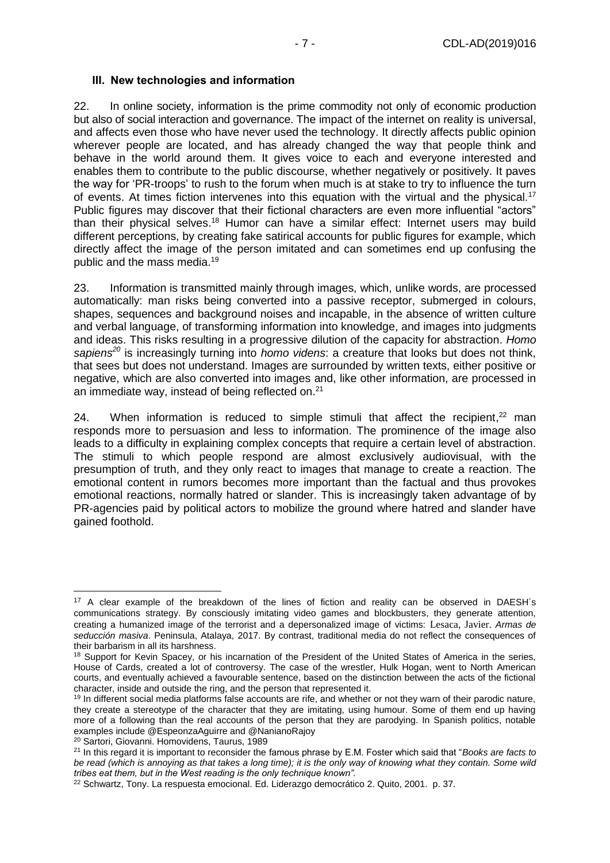#### <span id="page-6-0"></span>**III. New technologies and information**

22. In online society, information is the prime commodity not only of economic production but also of social interaction and governance. The impact of the internet on reality is universal, and affects even those who have never used the technology. It directly affects public opinion wherever people are located, and has already changed the way that people think and behave in the world around them. It gives voice to each and everyone interested and enables them to contribute to the public discourse, whether negatively or positively. It paves the way for 'PR-troops' to rush to the forum when much is at stake to try to influence the turn of events. At times fiction intervenes into this equation with the virtual and the physical.<sup>17</sup> Public figures may discover that their fictional characters are even more influential "actors" than their physical selves.<sup>18</sup> Humor can have a similar effect: Internet users may build different perceptions, by creating fake satirical accounts for public figures for example, which directly affect the image of the person imitated and can sometimes end up confusing the public and the mass media.<sup>19</sup>

23. Information is transmitted mainly through images, which, unlike words, are processed automatically: man risks being converted into a passive receptor, submerged in colours, shapes, sequences and background noises and incapable, in the absence of written culture and verbal language, of transforming information into knowledge, and images into judgments and ideas. This risks resulting in a progressive dilution of the capacity for abstraction. *Homo sapiens <sup>20</sup>* is increasingly turning into *homo videns*: a creature that looks but does not think, that sees but does not understand. Images are surrounded by written texts, either positive or negative, which are also converted into images and, like other information, are processed in an immediate way, instead of being reflected on.<sup>21</sup>

24. When information is reduced to simple stimuli that affect the recipient,<sup>22</sup> man responds more to persuasion and less to information. The prominence of the image also leads to a difficulty in explaining complex concepts that require a certain level of abstraction. The stimuli to which people respond are almost exclusively audiovisual, with the presumption of truth, and they only react to images that manage to create a reaction. The emotional content in rumors becomes more important than the factual and thus provokes emotional reactions, normally hatred or slander. This is increasingly taken advantage of by PR-agencies paid by political actors to mobilize the ground where hatred and slander have gained foothold.

<sup>&</sup>lt;sup>17</sup> A clear example of the breakdown of the lines of fiction and reality can be observed in DAESH's communications strategy. By consciously imitating video games and blockbusters, they generate attention, creating a humanized image of the terrorist and a depersonalized image of victims: Lesaca, Javier. *Armas de seducción masiva*. Peninsula, Atalaya, 2017. By contrast, traditional media do not reflect the consequences of their barbarism in all its harshness.

<sup>&</sup>lt;sup>18</sup> Support for Kevin Spacey, or his incarnation of the President of the United States of America in the series, House of Cards, created a lot of controversy. The case of the wrestler, Hulk Hogan, went to North American courts, and eventually achieved a favourable sentence, based on the distinction between the acts of the fictional character, inside and outside the ring, and the person that represented it.

<sup>&</sup>lt;sup>19</sup> In different social media platforms false accounts are rife, and whether or not they warn of their parodic nature, they create a stereotype of the character that they are imitating, using humour. Some of them end up having more of a following than the real accounts of the person that they are parodying. In Spanish politics, notable examples include @EspeonzaAguirre and @NanianoRajoy

<sup>20</sup> Sartori, Giovanni. Homovidens, Taurus, 1989

<sup>21</sup> In this regard it is important to reconsider the famous phrase by E.M. Foster which said that "*Books are facts to*  be read (which is annoying as that takes a long time); it is the only way of knowing what they contain. Some wild *tribes eat them, but in the West reading is the only technique known".*

<sup>22</sup> Schwartz, Tony. La respuesta emocional. Ed. Liderazgo democrático 2. Quito, 2001. p. 37.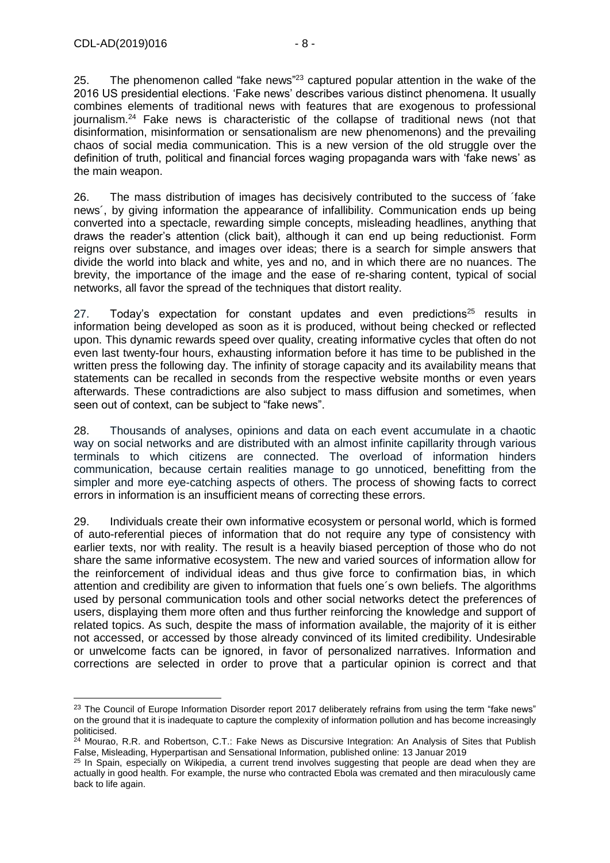-

25. The phenomenon called "fake news"<sup>23</sup> captured popular attention in the wake of the 2016 US presidential elections. 'Fake news' describes various distinct phenomena. It usually combines elements of traditional news with features that are exogenous to professional journalism.<sup>24</sup> Fake news is characteristic of the collapse of traditional news (not that disinformation, misinformation or sensationalism are new phenomenons) and the prevailing chaos of social media communication. This is a new version of the old struggle over the definition of truth, political and financial forces waging propaganda wars with 'fake news' as the main weapon.

26. The mass distribution of images has decisively contributed to the success of ´fake news´, by giving information the appearance of infallibility. Communication ends up being converted into a spectacle, rewarding simple concepts, misleading headlines, anything that draws the reader's attention (click bait), although it can end up being reductionist. Form reigns over substance, and images over ideas; there is a search for simple answers that divide the world into black and white, yes and no, and in which there are no nuances. The brevity, the importance of the image and the ease of re-sharing content, typical of social networks, all favor the spread of the techniques that distort reality.

27. Today's expectation for constant updates and even predictions<sup>25</sup> results in information being developed as soon as it is produced, without being checked or reflected upon. This dynamic rewards speed over quality, creating informative cycles that often do not even last twenty-four hours, exhausting information before it has time to be published in the written press the following day. The infinity of storage capacity and its availability means that statements can be recalled in seconds from the respective website months or even years afterwards. These contradictions are also subject to mass diffusion and sometimes, when seen out of context, can be subject to "fake news".

28. Thousands of analyses, opinions and data on each event accumulate in a chaotic way on social networks and are distributed with an almost infinite capillarity through various terminals to which citizens are connected. The overload of information hinders communication, because certain realities manage to go unnoticed, benefitting from the simpler and more eye-catching aspects of others. The process of showing facts to correct errors in information is an insufficient means of correcting these errors.

29. Individuals create their own informative ecosystem or personal world, which is formed of auto-referential pieces of information that do not require any type of consistency with earlier texts, nor with reality. The result is a heavily biased perception of those who do not share the same informative ecosystem. The new and varied sources of information allow for the reinforcement of individual ideas and thus give force to confirmation bias, in which attention and credibility are given to information that fuels one´s own beliefs. The algorithms used by personal communication tools and other social networks detect the preferences of users, displaying them more often and thus further reinforcing the knowledge and support of related topics. As such, despite the mass of information available, the majority of it is either not accessed, or accessed by those already convinced of its limited credibility. Undesirable or unwelcome facts can be ignored, in favor of personalized narratives. Information and corrections are selected in order to prove that a particular opinion is correct and that

<sup>&</sup>lt;sup>23</sup> The Council of Europe Information Disorder report 2017 deliberately refrains from using the term "fake news" on the ground that it is inadequate to capture the complexity of information pollution and has become increasingly politicised.

<sup>&</sup>lt;sup>24</sup> Mourao, R.R. and Robertson, C.T.: Fake News as Discursive Integration: An Analysis of Sites that Publish False, Misleading, Hyperpartisan and Sensational Information, published online: 13 Januar 2019

<sup>&</sup>lt;sup>25</sup> In Spain, especially on Wikipedia, a current trend involves suggesting that people are dead when they are actually in good health. For example, the nurse who contracted Ebola was cremated and then miraculously came back to life again.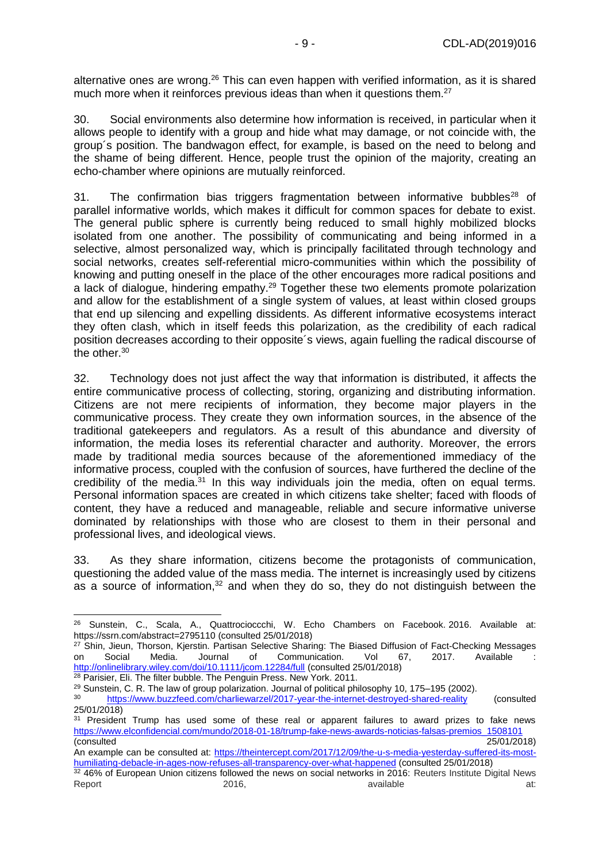alternative ones are wrong.<sup>26</sup> This can even happen with verified information, as it is shared much more when it reinforces previous ideas than when it questions them.<sup>27</sup>

30. Social environments also determine how information is received, in particular when it allows people to identify with a group and hide what may damage, or not coincide with, the group´s position. The bandwagon effect, for example, is based on the need to belong and the shame of being different. Hence, people trust the opinion of the majority, creating an echo-chamber where opinions are mutually reinforced.

31. The confirmation bias triggers fragmentation between informative bubbles<sup>28</sup> of parallel informative worlds, which makes it difficult for common spaces for debate to exist. The general public sphere is currently being reduced to small highly mobilized blocks isolated from one another. The possibility of communicating and being informed in a selective, almost personalized way, which is principally facilitated through technology and social networks, creates self-referential micro-communities within which the possibility of knowing and putting oneself in the place of the other encourages more radical positions and a lack of dialogue, hindering empathy.<sup>29</sup> Together these two elements promote polarization and allow for the establishment of a single system of values, at least within closed groups that end up silencing and expelling dissidents. As different informative ecosystems interact they often clash, which in itself feeds this polarization, as the credibility of each radical position decreases according to their opposite´s views, again fuelling the radical discourse of the other.<sup>30</sup>

32. Technology does not just affect the way that information is distributed, it affects the entire communicative process of collecting, storing, organizing and distributing information. Citizens are not mere recipients of information, they become major players in the communicative process. They create they own information sources, in the absence of the traditional gatekeepers and regulators. As a result of this abundance and diversity of information, the media loses its referential character and authority. Moreover, the errors made by traditional media sources because of the aforementioned immediacy of the informative process, coupled with the confusion of sources, have furthered the decline of the credibility of the media. $31$  In this way individuals join the media, often on equal terms. Personal information spaces are created in which citizens take shelter; faced with floods of content, they have a reduced and manageable, reliable and secure informative universe dominated by relationships with those who are closest to them in their personal and professional lives, and ideological views.

33. As they share information, citizens become the protagonists of communication, questioning the added value of the mass media. The internet is increasingly used by citizens as a source of information, $32$  and when they do so, they do not distinguish between the

<sup>26</sup> Sunstein, C., Scala, A., Quattrocioccchi, W. Echo Chambers on Facebook. 2016. Available at: <https://ssrn.com/abstract=2795110> (consulted 25/01/2018)

<sup>&</sup>lt;sup>27</sup> Shin, Jieun, Thorson, Kjerstin. Partisan Selective Sharing: The Biased Diffusion of Fact-Checking Messages<br>on Social Media. Journal of Communication. Vol 67, 2017. Available : Communication. Vol 67, 2017. Available : <http://onlinelibrary.wiley.com/doi/10.1111/jcom.12284/full> (consulted 25/01/2018) <sup>28</sup> Parisier, Eli. The filter bubble. The Penguin Press. New York. 2011.

<sup>&</sup>lt;sup>29</sup> Sunstein, C. R. The law of group polarization. Journal of political philosophy 10, 175–195 (2002).<br><sup>30</sup> https://www.buzzfeed.com/charlinwarzel/2017-vear-the-internet-destroyed shared reality.

<sup>30</sup> <https://www.buzzfeed.com/charliewarzel/2017-year-the-internet-destroyed-shared-reality> (consulted 25/01/2018)

<sup>&</sup>lt;sup>31</sup> President Trump has used some of these real or apparent failures to award prizes to fake news [https://www.elconfidencial.com/mundo/2018-01-18/trump-fake-news-awards-noticias-falsas-premios\\_1508101](https://www.elconfidencial.com/mundo/2018-01-18/trump-fake-news-awards-noticias-falsas-premios_1508101) (consulted 25/01/2018)

An example can be consulted at: [https://theintercept.com/2017/12/09/the-u-s-media-yesterday-suffered-its-most](https://theintercept.com/2017/12/09/the-u-s-media-yesterday-suffered-its-most-humiliating-debacle-in-ages-now-refuses-all-transparency-over-what-happened)[humiliating-debacle-in-ages-now-refuses-all-transparency-over-what-happened](https://theintercept.com/2017/12/09/the-u-s-media-yesterday-suffered-its-most-humiliating-debacle-in-ages-now-refuses-all-transparency-over-what-happened) (consulted 25/01/2018)

<sup>32 46%</sup> of European Union citizens followed the news on social networks in 2016: Reuters Institute Digital News Report 2016, and available at: 2016, and a state at: 2016, and a state at: 2016, and a state at: 2016, and a st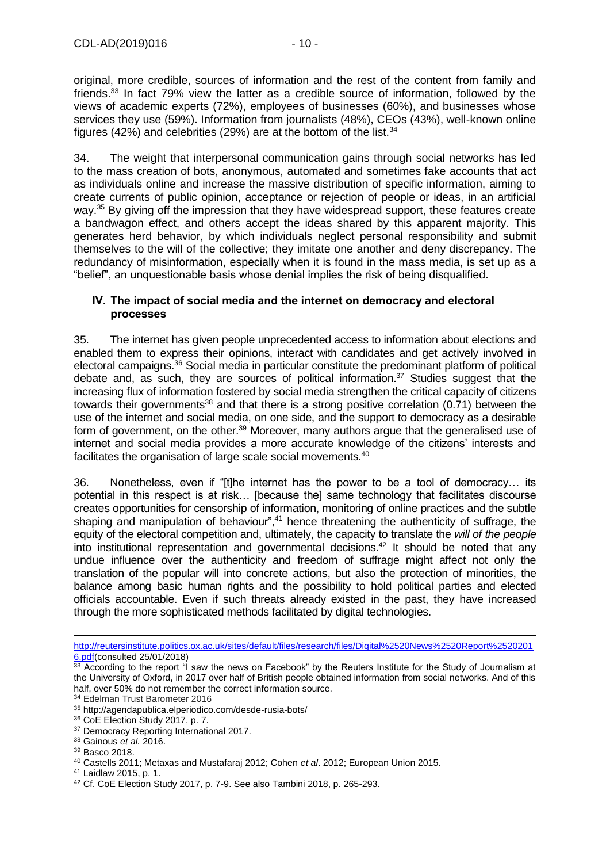original, more credible, sources of information and the rest of the content from family and friends. <sup>33</sup> In fact 79% view the latter as a credible source of information, followed by the views of academic experts (72%), employees of businesses (60%), and businesses whose services they use (59%). Information from journalists (48%), CEOs (43%), well-known online figures (42%) and celebrities (29%) are at the bottom of the list.  $34$ 

34. The weight that interpersonal communication gains through social networks has led to the mass creation of bots, anonymous, automated and sometimes fake accounts that act as individuals online and increase the massive distribution of specific information, aiming to create currents of public opinion, acceptance or rejection of people or ideas, in an artificial way.<sup>35</sup> By giving off the impression that they have widespread support, these features create a bandwagon effect, and others accept the ideas shared by this apparent majority. This generates herd behavior, by which individuals neglect personal responsibility and submit themselves to the will of the collective; they imitate one another and deny discrepancy. The redundancy of misinformation, especially when it is found in the mass media, is set up as a "belief", an unquestionable basis whose denial implies the risk of being disqualified.

#### <span id="page-9-0"></span>**IV. The impact of social media and the internet on democracy and electoral processes**

35. The internet has given people unprecedented access to information about elections and enabled them to express their opinions, interact with candidates and get actively involved in electoral campaigns.<sup>36</sup> Social media in particular constitute the predominant platform of political debate and, as such, they are sources of political information. <sup>37</sup> Studies suggest that the increasing flux of information fostered by social media strengthen the critical capacity of citizens towards their governments<sup>38</sup> and that there is a strong positive correlation (0.71) between the use of the internet and social media, on one side, and the support to democracy as a desirable form of government, on the other.<sup>39</sup> Moreover, many authors argue that the generalised use of internet and social media provides a more accurate knowledge of the citizens' interests and facilitates the organisation of large scale social movements.<sup>40</sup>

36. Nonetheless, even if "[t]he internet has the power to be a tool of democracy… its potential in this respect is at risk… [because the] same technology that facilitates discourse creates opportunities for censorship of information, monitoring of online practices and the subtle shaping and manipulation of behaviour", $41$  hence threatening the authenticity of suffrage, the equity of the electoral competition and, ultimately, the capacity to translate the *will of the people*  into institutional representation and governmental decisions. <sup>42</sup> It should be noted that any undue influence over the authenticity and freedom of suffrage might affect not only the translation of the popular will into concrete actions, but also the protection of minorities, the balance among basic human rights and the possibility to hold political parties and elected officials accountable. Even if such threats already existed in the past, they have increased through the more sophisticated methods facilitated by digital technologies.

[http://reutersinstitute.politics.ox.ac.uk/sites/default/files/research/files/Digital%2520News%2520Report%2520201](http://reutersinstitute.politics.ox.ac.uk/sites/default/files/research/files/Digital%252520News%252520Report%2525202016.pdf) [6.pdf\(](http://reutersinstitute.politics.ox.ac.uk/sites/default/files/research/files/Digital%252520News%252520Report%2525202016.pdf)consulted 25/01/2018)

 $33$  According to the report "I saw the news on Facebook" by the Reuters Institute for the Study of Journalism at the University of Oxford, in 2017 over half of British people obtained information from social networks. And of this half, over 50% do not remember the correct information source.

<sup>34</sup> Edelman Trust Barometer 2016

<sup>35</sup> http://agendapublica.elperiodico.com/desde-rusia-bots/

<sup>36</sup> CoE Election Study 2017, p. 7.

<sup>&</sup>lt;sup>37</sup> Democracy Reporting International 2017.

<sup>38</sup> Gainous *et al.* 2016.

<sup>39</sup> Basco 2018.

<sup>40</sup> Castells 2011; Metaxas and Mustafaraj 2012; Cohen *et al*. 2012; European Union 2015.

<sup>41</sup> Laidlaw 2015, p. 1.

<sup>42</sup> Cf. CoE Election Study 2017, p. 7-9. See also Tambini 2018, p. 265-293.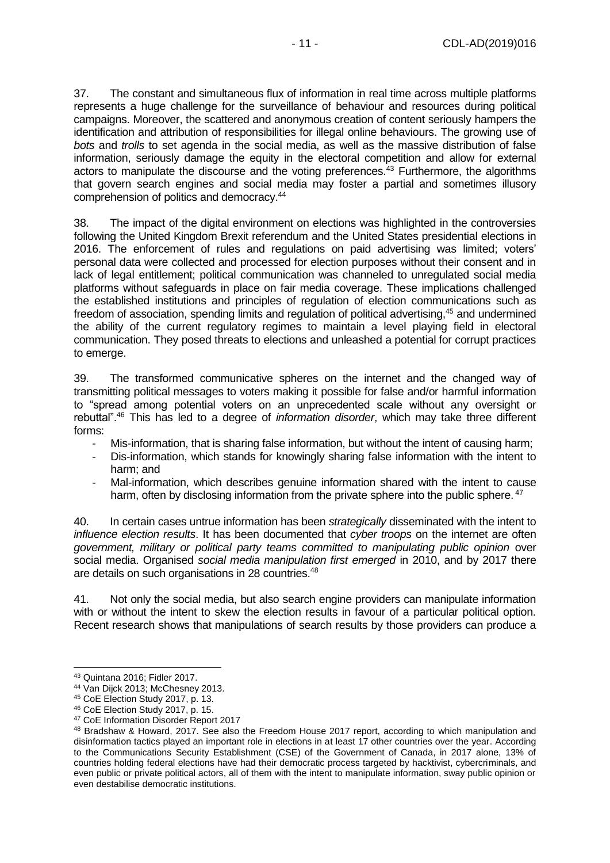37. The constant and simultaneous flux of information in real time across multiple platforms represents a huge challenge for the surveillance of behaviour and resources during political campaigns. Moreover, the scattered and anonymous creation of content seriously hampers the identification and attribution of responsibilities for illegal online behaviours. The growing use of *bots* and *trolls* to set agenda in the social media, as well as the massive distribution of false information, seriously damage the equity in the electoral competition and allow for external actors to manipulate the discourse and the voting preferences.<sup>43</sup> Furthermore, the algorithms that govern search engines and social media may foster a partial and sometimes illusory comprehension of politics and democracy.<sup>44</sup>

38. The impact of the digital environment on elections was highlighted in the controversies following the United Kingdom Brexit referendum and the United States presidential elections in 2016. The enforcement of rules and regulations on paid advertising was limited; voters' personal data were collected and processed for election purposes without their consent and in lack of legal entitlement; political communication was channeled to unregulated social media platforms without safeguards in place on fair media coverage. These implications challenged the established institutions and principles of regulation of election communications such as freedom of association, spending limits and regulation of political advertising,<sup>45</sup> and undermined the ability of the current regulatory regimes to maintain a level playing field in electoral communication. They posed threats to elections and unleashed a potential for corrupt practices to emerge.

39. The transformed communicative spheres on the internet and the changed way of transmitting political messages to voters making it possible for false and/or harmful information to "spread among potential voters on an unprecedented scale without any oversight or rebuttal".<sup>46</sup> This has led to a degree of *information disorder*, which may take three different forms:

- Mis-information, that is sharing false information, but without the intent of causing harm;
- Dis-information, which stands for knowingly sharing false information with the intent to harm; and
- Mal-information, which describes genuine information shared with the intent to cause harm, often by disclosing information from the private sphere into the public sphere.<sup>47</sup>

40. In certain cases untrue information has been *strategically* disseminated with the intent to *influence election results*. It has been documented that *cyber troops* on the internet are often *government, military or political party teams committed to manipulating public opinion* over social media. Organised *social media manipulation first emerged* in 2010, and by 2017 there are details on such organisations in 28 countries.<sup>48</sup>

41. Not only the social media, but also search engine providers can manipulate information with or without the intent to skew the election results in favour of a particular political option. Recent research shows that manipulations of search results by those providers can produce a

<sup>-</sup><sup>43</sup> Quintana 2016; Fidler 2017.

<sup>44</sup> Van Dijck 2013; McChesney 2013.

<sup>45</sup> CoE Election Study 2017, p. 13.

<sup>46</sup> CoE Election Study 2017, p. 15.

<sup>47</sup> CoE Information Disorder Report 2017

<sup>48</sup> Bradshaw & Howard, 2017. See also the Freedom House 2017 report, according to which manipulation and disinformation tactics played an important role in elections in at least 17 other countries over the year. According to the Communications Security Establishment (CSE) of the Government of Canada, in 2017 alone, 13% of countries holding federal elections have had their democratic process targeted by hacktivist, cybercriminals, and even public or private political actors, all of them with the intent to manipulate information, sway public opinion or even destabilise democratic institutions.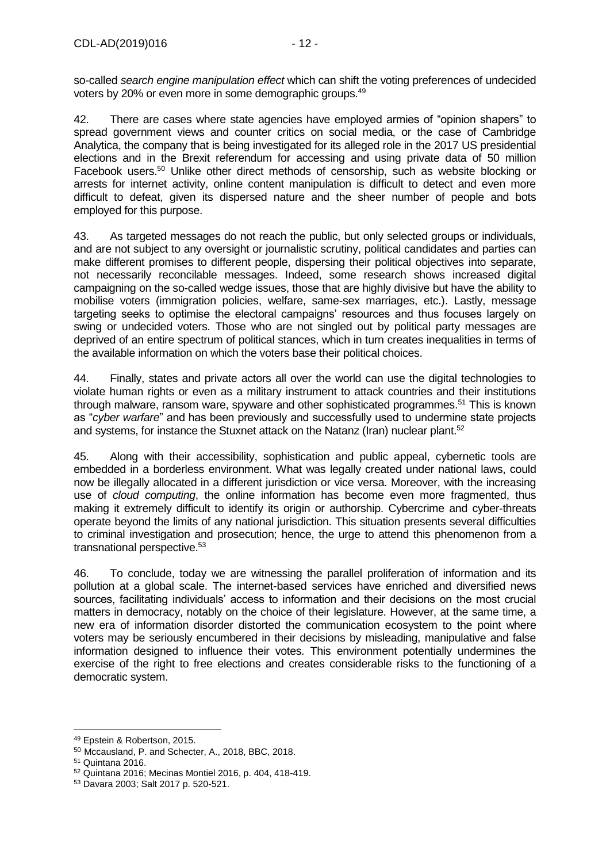so-called *search engine manipulation effect* which can shift the voting preferences of undecided voters by 20% or even more in some demographic groups.<sup>49</sup>

42. There are cases where state agencies have employed armies of "opinion shapers" to spread government views and counter critics on social media, or the case of Cambridge Analytica, the company that is being investigated for its alleged role in the 2017 US presidential elections and in the Brexit referendum for accessing and using private data of 50 million Facebook users.<sup>50</sup> Unlike other direct methods of censorship, such as website blocking or arrests for internet activity, online content manipulation is difficult to detect and even more difficult to defeat, given its dispersed nature and the sheer number of people and bots employed for this purpose.

43. As targeted messages do not reach the public, but only selected groups or individuals, and are not subject to any oversight or journalistic scrutiny, political candidates and parties can make different promises to different people, dispersing their political objectives into separate, not necessarily reconcilable messages. Indeed, some research shows increased digital campaigning on the so-called wedge issues, those that are highly divisive but have the ability to mobilise voters (immigration policies, welfare, same-sex marriages, etc.). Lastly, message targeting seeks to optimise the electoral campaigns' resources and thus focuses largely on swing or undecided voters. Those who are not singled out by political party messages are deprived of an entire spectrum of political stances, which in turn creates inequalities in terms of the available information on which the voters base their political choices.

44. Finally, states and private actors all over the world can use the digital technologies to violate human rights or even as a military instrument to attack countries and their institutions through malware, ransom ware, spyware and other sophisticated programmes.<sup>51</sup> This is known as "*cyber warfare*" and has been previously and successfully used to undermine state projects and systems, for instance the Stuxnet attack on the Natanz (Iran) nuclear plant.<sup>52</sup>

45. Along with their accessibility, sophistication and public appeal, cybernetic tools are embedded in a borderless environment. What was legally created under national laws, could now be illegally allocated in a different jurisdiction or vice versa. Moreover, with the increasing use of *cloud computing*, the online information has become even more fragmented, thus making it extremely difficult to identify its origin or authorship. Cybercrime and cyber-threats operate beyond the limits of any national jurisdiction. This situation presents several difficulties to criminal investigation and prosecution; hence, the urge to attend this phenomenon from a transnational perspective.<sup>53</sup>

46. To conclude, today we are witnessing the parallel proliferation of information and its pollution at a global scale. The internet-based services have enriched and diversified news sources, facilitating individuals' access to information and their decisions on the most crucial matters in democracy, notably on the choice of their legislature. However, at the same time, a new era of information disorder distorted the communication ecosystem to the point where voters may be seriously encumbered in their decisions by misleading, manipulative and false information designed to influence their votes. This environment potentially undermines the exercise of the right to free elections and creates considerable risks to the functioning of a democratic system.

<sup>49</sup> Epstein & Robertson, 2015.

<sup>50</sup> Mccausland, P. and Schecter, A., 2018, BBC, 2018.

<sup>51</sup> Quintana 2016.

<sup>52</sup> Quintana 2016; Mecinas Montiel 2016, p. 404, 418-419.

<sup>53</sup> Davara 2003; Salt 2017 p. 520-521.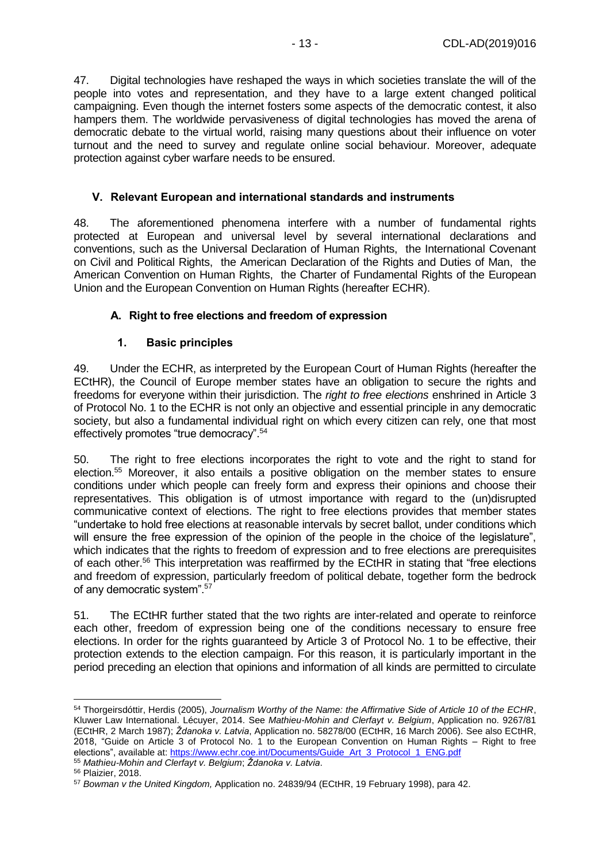47. Digital technologies have reshaped the ways in which societies translate the will of the people into votes and representation, and they have to a large extent changed political campaigning. Even though the internet fosters some aspects of the democratic contest, it also hampers them. The worldwide pervasiveness of digital technologies has moved the arena of democratic debate to the virtual world, raising many questions about their influence on voter turnout and the need to survey and regulate online social behaviour. Moreover, adequate protection against cyber warfare needs to be ensured.

#### <span id="page-12-0"></span>**V. Relevant European and international standards and instruments**

48. The aforementioned phenomena interfere with a number of fundamental rights protected at European and universal level by several international declarations and conventions, such as the Universal Declaration of Human Rights, the International Covenant on Civil and Political Rights, the American Declaration of the Rights and Duties of Man, the American Convention on Human Rights, the Charter of Fundamental Rights of the European Union and the European Convention on Human Rights (hereafter ECHR).

#### <span id="page-12-1"></span>**A. Right to free elections and freedom of expression**

#### **1. Basic principles**

<span id="page-12-2"></span>49. Under the ECHR, as interpreted by the European Court of Human Rights (hereafter the ECtHR), the Council of Europe member states have an obligation to secure the rights and freedoms for everyone within their jurisdiction. The *right to free elections* enshrined in Article 3 of Protocol No. 1 to the ECHR is not only an objective and essential principle in any democratic society, but also a fundamental individual right on which every citizen can rely, one that most effectively promotes "true democracy". 54

50. The right to free elections incorporates the right to vote and the right to stand for election.<sup>55</sup> Moreover, it also entails a positive obligation on the member states to ensure conditions under which people can freely form and express their opinions and choose their representatives. This obligation is of utmost importance with regard to the (un)disrupted communicative context of elections. The right to free elections provides that member states "undertake to hold free elections at reasonable intervals by secret ballot, under conditions which will ensure the free expression of the opinion of the people in the choice of the legislature", which indicates that the rights to freedom of expression and to free elections are prerequisites of each other.<sup>56</sup> This interpretation was reaffirmed by the ECtHR in stating that "free elections and freedom of expression, particularly freedom of political debate, together form the bedrock of any democratic system".<sup>57</sup>

51. The ECtHR further stated that the two rights are inter-related and operate to reinforce each other, freedom of expression being one of the conditions necessary to ensure free elections. In order for the rights guaranteed by Article 3 of Protocol No. 1 to be effective, their protection extends to the election campaign. For this reason, it is particularly important in the period preceding an election that opinions and information of all kinds are permitted to circulate

<sup>54</sup> Thorgeirsdóttir, Herdis (2005), *Journalism Worthy of the Name: the Affirmative Side of Article 10 of the ECHR*, Kluwer Law International. Lécuyer, 2014. See *Mathieu-Mohin and Clerfayt v. Belgium*, Application no. 9267/81 (ECtHR, 2 March 1987); *Ždanoka v. Latvia*, Application no. 58278/00 (ECtHR, 16 March 2006). See also ECtHR, 2018, "Guide on Article 3 of Protocol No. 1 to the European Convention on Human Rights – Right to free elections", available at: [https://www.echr.coe.int/Documents/Guide\\_Art\\_3\\_Protocol\\_1\\_ENG.pdf](https://www.echr.coe.int/Documents/Guide_Art_3_Protocol_1_ENG.pdf)

<sup>55</sup> *Mathieu-Mohin and Clerfayt v. Belgium*; *Ždanoka v. Latvia*.

<sup>56</sup> Plaizier, 2018.

<sup>57</sup> *Bowman v the United Kingdom,* Application no. 24839/94 (ECtHR, 19 February 1998), para 42.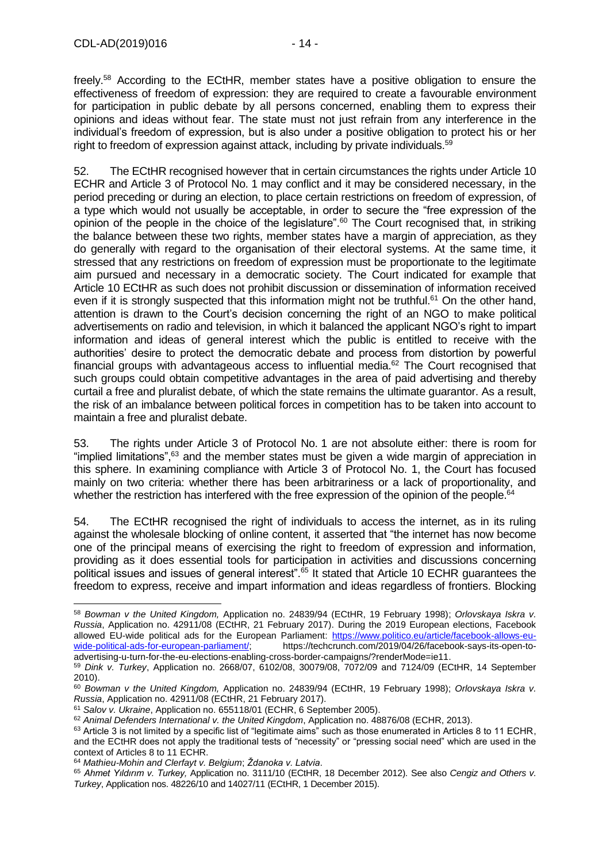freely.<sup>58</sup> According to the ECtHR, member states have a positive obligation to ensure the effectiveness of freedom of expression: they are required to create a favourable environment for participation in public debate by all persons concerned, enabling them to express their opinions and ideas without fear. The state must not just refrain from any interference in the individual's freedom of expression, but is also under a positive obligation to protect his or her right to freedom of expression against attack, including by private individuals.<sup>59</sup>

52. The ECtHR recognised however that in certain circumstances the rights under Article 10 ECHR and Article 3 of Protocol No. 1 may conflict and it may be considered necessary, in the period preceding or during an election, to place certain restrictions on freedom of expression, of a type which would not usually be acceptable, in order to secure the "free expression of the opinion of the people in the choice of the legislature".<sup>60</sup> The Court recognised that, in striking the balance between these two rights, member states have a margin of appreciation, as they do generally with regard to the organisation of their electoral systems. At the same time, it stressed that any restrictions on freedom of expression must be proportionate to the legitimate aim pursued and necessary in a democratic society. The Court indicated for example that Article 10 ECtHR as such does not prohibit discussion or dissemination of information received even if it is strongly suspected that this information might not be truthful.<sup>61</sup> On the other hand, attention is drawn to the Court's decision concerning the right of an NGO to make political advertisements on radio and television, in which it balanced the applicant NGO's right to impart information and ideas of general interest which the public is entitled to receive with the authorities' desire to protect the democratic debate and process from distortion by powerful financial groups with advantageous access to influential media. $62$  The Court recognised that such groups could obtain competitive advantages in the area of paid advertising and thereby curtail a free and pluralist debate, of which the state remains the ultimate guarantor. As a result, the risk of an imbalance between political forces in competition has to be taken into account to maintain a free and pluralist debate.

53. The rights under Article 3 of Protocol No. 1 are not absolute either: there is room for "implied limitations",<sup>63</sup> and the member states must be given a wide margin of appreciation in this sphere. In examining compliance with Article 3 of Protocol No. 1, the Court has focused mainly on two criteria: whether there has been arbitrariness or a lack of proportionality, and whether the restriction has interfered with the free expression of the opinion of the people.<sup>64</sup>

54. The ECtHR recognised the right of individuals to access the internet, as in its ruling against the wholesale blocking of online content, it asserted that "the internet has now become one of the principal means of exercising the right to freedom of expression and information, providing as it does essential tools for participation in activities and discussions concerning political issues and issues of general interest".<sup>65</sup> It stated that Article 10 ECHR guarantees the freedom to express, receive and impart information and ideas regardless of frontiers. Blocking

<sup>64</sup> *Mathieu-Mohin and Clerfayt v. Belgium*; *Ždanoka v. Latvia*.

<sup>58</sup> *Bowman v the United Kingdom,* Application no. 24839/94 (ECtHR, 19 February 1998); *Orlovskaya Iskra v. Russia*, Application no. 42911/08 (ECtHR, 21 February 2017). During the 2019 European elections, Facebook allowed EU-wide political ads for the European Parliament: [https://www.politico.eu/article/facebook-allows-eu](https://www.politico.eu/article/facebook-allows-eu-wide-political-ads-for-european-parliament/)[wide-political-ads-for-european-parliament/;](https://www.politico.eu/article/facebook-allows-eu-wide-political-ads-for-european-parliament/) https://techcrunch.com/2019/04/26/facebook-says-its-open-toadvertising-u-turn-for-the-eu-elections-enabling-cross-border-campaigns/?renderMode=ie11.

<sup>59</sup> *Dink v. Turkey*, Application no. 2668/07, 6102/08, 30079/08, 7072/09 and 7124/09 (ECtHR, 14 September 2010).

<sup>60</sup> *Bowman v the United Kingdom,* Application no. 24839/94 (ECtHR, 19 February 1998); *Orlovskaya Iskra v. Russia*, Application no. 42911/08 (ECtHR, 21 February 2017).

<sup>61</sup> *Salov v. Ukraine*, Application no. 655118/01 (ECHR, 6 September 2005).

<sup>62</sup> *Animal Defenders International v. the United Kingdom*, Application no. 48876/08 (ECHR, 2013).

 $63$  Article 3 is not limited by a specific list of "legitimate aims" such as those enumerated in Articles 8 to 11 ECHR, and the ECtHR does not apply the traditional tests of "necessity" or "pressing social need" which are used in the context of Articles 8 to 11 ECHR.

<sup>65</sup> *Ahmet Yıldırım v. Turkey,* Application no. 3111/10 (ECtHR, 18 December 2012). See also *Cengiz and Others v. Turkey*, Application nos. 48226/10 and 14027/11 (ECtHR, 1 December 2015).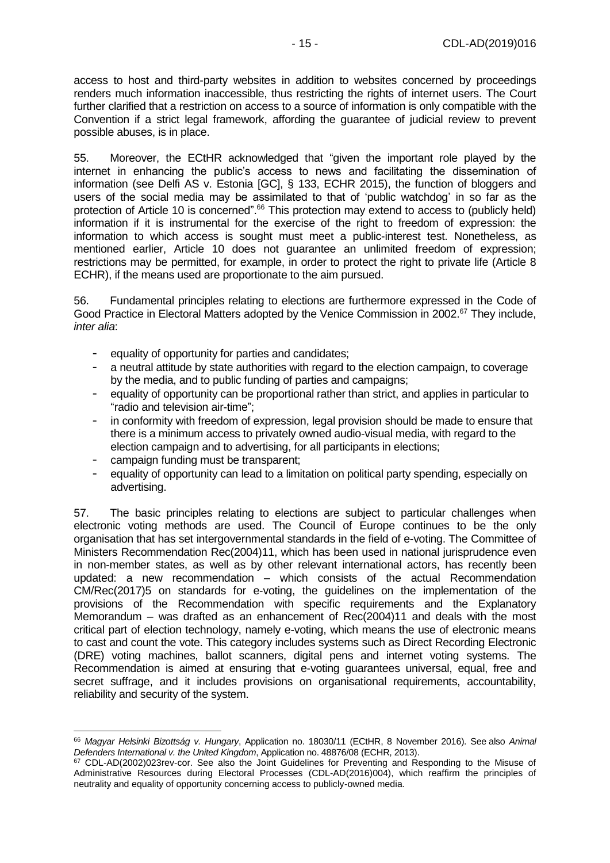access to host and third-party websites in addition to websites concerned by proceedings renders much information inaccessible, thus restricting the rights of internet users. The Court further clarified that a restriction on access to a source of information is only compatible with the Convention if a strict legal framework, affording the guarantee of judicial review to prevent possible abuses, is in place.

55. Moreover, the ECtHR acknowledged that "given the important role played by the internet in enhancing the public's access to news and facilitating the dissemination of information (see Delfi AS v. Estonia [GC], § 133, ECHR 2015), the function of bloggers and users of the social media may be assimilated to that of 'public watchdog' in so far as the protection of Article 10 is concerned". <sup>66</sup> This protection may extend to access to (publicly held) information if it is instrumental for the exercise of the right to freedom of expression: the information to which access is sought must meet a public-interest test. Nonetheless, as mentioned earlier, Article 10 does not guarantee an unlimited freedom of expression; restrictions may be permitted, for example, in order to protect the right to private life (Article 8 ECHR), if the means used are proportionate to the aim pursued.

56. Fundamental principles relating to elections are furthermore expressed in the Code of Good Practice in Electoral Matters adopted by the Venice Commission in 2002.<sup>67</sup> They include, *inter alia*:

- equality of opportunity for parties and candidates;
- a neutral attitude by state authorities with regard to the election campaign, to coverage by the media, and to public funding of parties and campaigns;
- equality of opportunity can be proportional rather than strict, and applies in particular to "radio and television air-time";
- in conformity with freedom of expression, legal provision should be made to ensure that there is a minimum access to privately owned audio-visual media, with regard to the election campaign and to advertising, for all participants in elections;
- campaign funding must be transparent;

-

equality of opportunity can lead to a limitation on political party spending, especially on advertising.

57. The basic principles relating to elections are subject to particular challenges when electronic voting methods are used. The Council of Europe continues to be the only organisation that has set intergovernmental standards in the field of e-voting. The Committee of Ministers Recommendation Rec(2004)11, which has been used in national jurisprudence even in non-member states, as well as by other relevant international actors, has recently been updated: a new recommendation – which consists of the actual Recommendation CM/Rec(2017)5 on standards for e-voting, the guidelines on the implementation of the provisions of the Recommendation with specific requirements and the Explanatory Memorandum – was drafted as an enhancement of Rec(2004)11 and deals with the most critical part of election technology, namely e-voting, which means the use of electronic means to cast and count the vote. This category includes systems such as Direct Recording Electronic (DRE) voting machines, ballot scanners, digital pens and internet voting systems. The Recommendation is aimed at ensuring that e-voting guarantees universal, equal, free and secret suffrage, and it includes provisions on organisational requirements, accountability, reliability and security of the system.

<sup>66</sup> *Magyar Helsinki Bizottság v. Hungary*, Application no. 18030/11 (ECtHR, 8 November 2016). See also *Animal Defenders International v. the United Kingdom*, Application no. 48876/08 (ECHR, 2013).

<sup>67</sup> CDL-AD(2002)023rev-cor. See also the Joint Guidelines for Preventing and Responding to the Misuse of Administrative Resources during Electoral Processes (CDL-AD(2016)004), which reaffirm the principles of neutrality and equality of opportunity concerning access to publicly-owned media.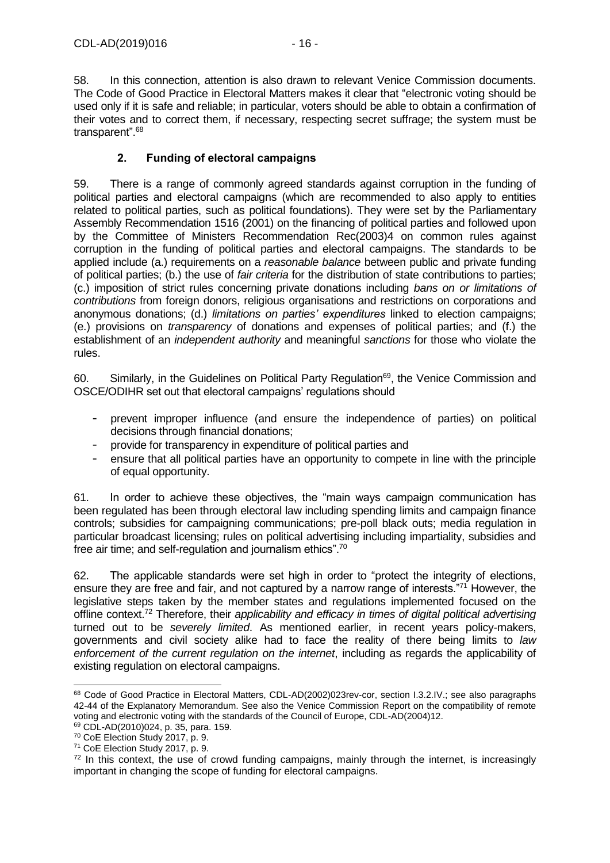58. In this connection, attention is also drawn to relevant Venice Commission documents. The Code of Good Practice in Electoral Matters makes it clear that "electronic voting should be used only if it is safe and reliable; in particular, voters should be able to obtain a confirmation of their votes and to correct them, if necessary, respecting secret suffrage; the system must be transparent".<sup>68</sup>

### **2. Funding of electoral campaigns**

<span id="page-15-0"></span>59. There is a range of commonly agreed standards against corruption in the funding of political parties and electoral campaigns (which are recommended to also apply to entities related to political parties, such as political foundations). They were set by the Parliamentary Assembly Recommendation 1516 (2001) on the financing of political parties and followed upon by the Committee of Ministers Recommendation Rec(2003)4 on common rules against corruption in the funding of political parties and electoral campaigns. The standards to be applied include (a.) requirements on a *reasonable balance* between public and private funding of political parties; (b.) the use of *fair criteria* for the distribution of state contributions to parties; (c.) imposition of strict rules concerning private donations including *bans on or limitations of contributions* from foreign donors, religious organisations and restrictions on corporations and anonymous donations; (d.) *limitations on parties' expenditures* linked to election campaigns; (e.) provisions on *transparency* of donations and expenses of political parties; and (f.) the establishment of an *independent authority* and meaningful *sanctions* for those who violate the rules.

60. Similarly, in the Guidelines on Political Party Regulation<sup>69</sup>, the Venice Commission and OSCE/ODIHR set out that electoral campaigns' regulations should

- prevent improper influence (and ensure the independence of parties) on political decisions through financial donations;
- provide for transparency in expenditure of political parties and
- ensure that all political parties have an opportunity to compete in line with the principle of equal opportunity.

61. In order to achieve these objectives, the "main ways campaign communication has been regulated has been through electoral law including spending limits and campaign finance controls; subsidies for campaigning communications; pre-poll black outs; media regulation in particular broadcast licensing; rules on political advertising including impartiality, subsidies and free air time; and self-regulation and journalism ethics".<sup>70</sup>

62. The applicable standards were set high in order to "protect the integrity of elections, ensure they are free and fair, and not captured by a narrow range of interests."<sup>71</sup> However, the legislative steps taken by the member states and regulations implemented focused on the offline context.<sup>72</sup> Therefore, their *applicability and efficacy in times of digital political advertising* turned out to be *severely limited*. As mentioned earlier, in recent years policy-makers, governments and civil society alike had to face the reality of there being limits to *law enforcement of the current regulation on the internet*, including as regards the applicability of existing regulation on electoral campaigns.

<sup>68</sup> Code of Good Practice in Electoral Matters, CDL-AD(2002)023rev-cor, section I.3.2.IV.; see also paragraphs 42-44 of the Explanatory Memorandum. See also the Venice Commission Report on the compatibility of remote voting and electronic voting with the standards of the Council of Europe, CDL-AD(2004)12.

<sup>69</sup> CDL-AD(2010)024, p. 35, para. 159.

<sup>70</sup> CoE Election Study 2017, p. 9.

<sup>71</sup> CoE Election Study 2017, p. 9.

 $72$  In this context, the use of crowd funding campaigns, mainly through the internet, is increasingly important in changing the scope of funding for electoral campaigns.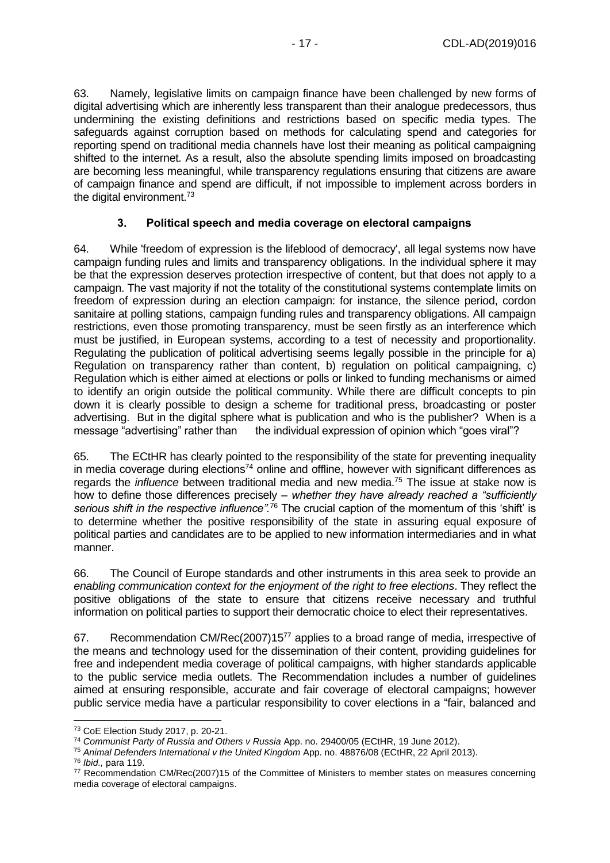63. Namely, legislative limits on campaign finance have been challenged by new forms of digital advertising which are inherently less transparent than their analogue predecessors, thus undermining the existing definitions and restrictions based on specific media types. The safeguards against corruption based on methods for calculating spend and categories for reporting spend on traditional media channels have lost their meaning as political campaigning shifted to the internet. As a result, also the absolute spending limits imposed on broadcasting are becoming less meaningful, while transparency regulations ensuring that citizens are aware of campaign finance and spend are difficult, if not impossible to implement across borders in the digital environment.<sup>73</sup>

#### **3. Political speech and media coverage on electoral campaigns**

<span id="page-16-0"></span>64. While 'freedom of expression is the lifeblood of democracy', all legal systems now have campaign funding rules and limits and transparency obligations. In the individual sphere it may be that the expression deserves protection irrespective of content, but that does not apply to a campaign. The vast majority if not the totality of the constitutional systems contemplate limits on freedom of expression during an election campaign: for instance, the silence period, cordon sanitaire at polling stations, campaign funding rules and transparency obligations. All campaign restrictions, even those promoting transparency, must be seen firstly as an interference which must be justified, in European systems, according to a test of necessity and proportionality. Regulating the publication of political advertising seems legally possible in the principle for a) Regulation on transparency rather than content, b) regulation on political campaigning, c) Regulation which is either aimed at elections or polls or linked to funding mechanisms or aimed to identify an origin outside the political community. While there are difficult concepts to pin down it is clearly possible to design a scheme for traditional press, broadcasting or poster advertising. But in the digital sphere what is publication and who is the publisher? When is a message "advertising" rather than the individual expression of opinion which "goes viral"?

65. The ECtHR has clearly pointed to the responsibility of the state for preventing inequality in media coverage during elections<sup>74</sup> online and offline, however with significant differences as regards the *influence* between traditional media and new media.<sup>75</sup> The issue at stake now is how to define those differences precisely *– whether they have already reached a "sufficiently*  serious shift in the respective influence".<sup>76</sup> The crucial caption of the momentum of this 'shift' is to determine whether the positive responsibility of the state in assuring equal exposure of political parties and candidates are to be applied to new information intermediaries and in what manner.

66. The Council of Europe standards and other instruments in this area seek to provide an *enabling communication context for the enjoyment of the right to free elections*. They reflect the positive obligations of the state to ensure that citizens receive necessary and truthful information on political parties to support their democratic choice to elect their representatives.

67. Recommendation CM/Rec(2007)15<sup>77</sup> applies to a broad range of media, irrespective of the means and technology used for the dissemination of their content, providing guidelines for free and independent media coverage of political campaigns, with higher standards applicable to the public service media outlets. The Recommendation includes a number of guidelines aimed at ensuring responsible, accurate and fair coverage of electoral campaigns; however public service media have a particular responsibility to cover elections in a "fair, balanced and

<sup>76</sup> *Ibid.,* para 119.

<sup>-</sup><sup>73</sup> CoE Election Study 2017, p. 20-21.

<sup>74</sup> *Communist Party of Russia and Others v Russia* App. no. 29400/05 (ECtHR, 19 June 2012).

<sup>75</sup> *Animal Defenders International v the United Kingdom* App. no. 48876/08 (ECtHR, 22 April 2013).

<sup>77</sup> Recommendation CM/Rec(2007)15 of the Committee of Ministers to member states on measures concerning media coverage of electoral campaigns.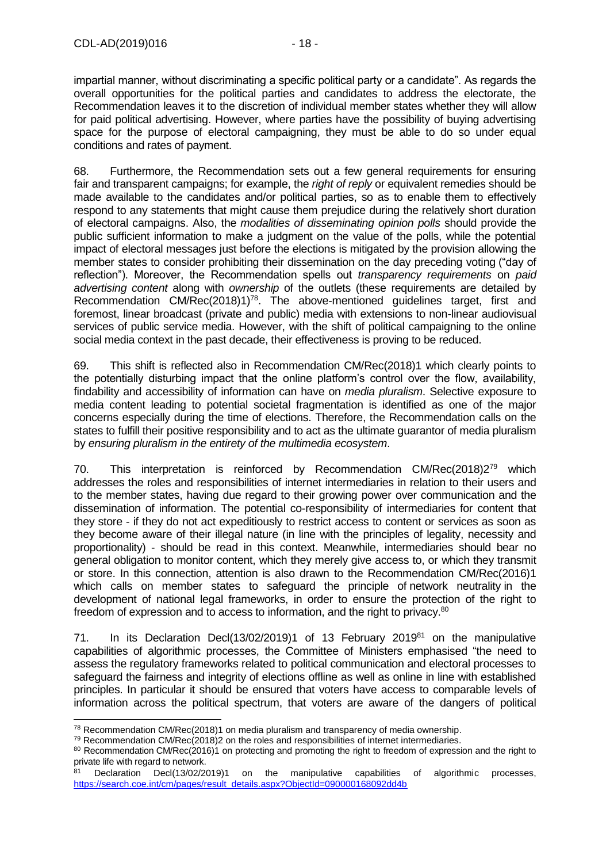impartial manner, without discriminating a specific political party or a candidate". As regards the overall opportunities for the political parties and candidates to address the electorate, the Recommendation leaves it to the discretion of individual member states whether they will allow for paid political advertising. However, where parties have the possibility of buying advertising space for the purpose of electoral campaigning, they must be able to do so under equal conditions and rates of payment.

68. Furthermore, the Recommendation sets out a few general requirements for ensuring fair and transparent campaigns; for example, the *right of reply* or equivalent remedies should be made available to the candidates and/or political parties, so as to enable them to effectively respond to any statements that might cause them prejudice during the relatively short duration of electoral campaigns. Also, the *modalities of disseminating opinion polls* should provide the public sufficient information to make a judgment on the value of the polls, while the potential impact of electoral messages just before the elections is mitigated by the provision allowing the member states to consider prohibiting their dissemination on the day preceding voting ("day of reflection"). Moreover, the Recommendation spells out *transparency requirements* on *paid advertising content* along with *ownership* of the outlets (these requirements are detailed by Recommendation CM/Rec(2018)1)<sup>78</sup>. The above-mentioned guidelines target, first and foremost, linear broadcast (private and public) media with extensions to non-linear audiovisual services of public service media. However, with the shift of political campaigning to the online social media context in the past decade, their effectiveness is proving to be reduced.

69. This shift is reflected also in Recommendation CM/Rec(2018)1 which clearly points to the potentially disturbing impact that the online platform's control over the flow, availability, findability and accessibility of information can have on *media pluralism*. Selective exposure to media content leading to potential societal fragmentation is identified as one of the major concerns especially during the time of elections. Therefore, the Recommendation calls on the states to fulfill their positive responsibility and to act as the ultimate guarantor of media pluralism by *ensuring pluralism in the entirety of the multimedia ecosystem*.

70. This interpretation is reinforced by Recommendation CM/Rec(2018)2<sup>79</sup> which addresses the roles and responsibilities of internet intermediaries in relation to their users and to the member states, having due regard to their growing power over communication and the dissemination of information. The potential co-responsibility of intermediaries for content that they store - if they do not act expeditiously to restrict access to content or services as soon as they become aware of their illegal nature (in line with the principles of legality, necessity and proportionality) - should be read in this context. Meanwhile, intermediaries should bear no general obligation to monitor content, which they merely give access to, or which they transmit or store. In this connection, attention is also drawn to the Recommendation CM/Rec(2016)1 which calls on member states to safeguard the principle of network neutrality in the development of national legal frameworks, in order to ensure the protection of the right to freedom of expression and to access to information, and the right to privacy.<sup>80</sup>

71. In its Declaration Decl(13/02/2019)1 of 13 February 2019<sup>81</sup> on the manipulative capabilities of algorithmic processes, the Committee of Ministers emphasised "the need to assess the regulatory frameworks related to political communication and electoral processes to safeguard the fairness and integrity of elections offline as well as online in line with established principles. In particular it should be ensured that voters have access to comparable levels of information across the political spectrum, that voters are aware of the dangers of political

<sup>-</sup><sup>78</sup> Recommendation CM/Rec(2018)1 on media pluralism and transparency of media ownership.

 $79$  Recommendation CM/Rec(2018)2 on the roles and responsibilities of internet intermediaries.

<sup>80</sup> Recommendation CM/Rec(2016)1 on protecting and promoting the right to freedom of expression and the right to private life with regard to network.

Declaration Decl(13/02/2019)1 on the manipulative capabilities of algorithmic processes. [https://search.coe.int/cm/pages/result\\_details.aspx?ObjectId=090000168092dd4b](https://search.coe.int/cm/pages/result_details.aspx?ObjectId=090000168092dd4b)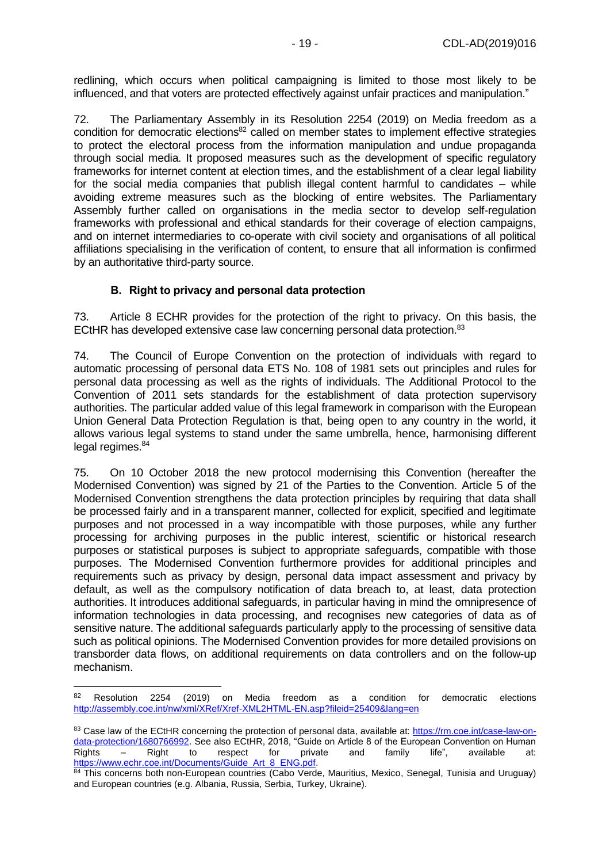redlining, which occurs when political campaigning is limited to those most likely to be influenced, and that voters are protected effectively against unfair practices and manipulation."

72. The Parliamentary Assembly in its Resolution 2254 (2019) on Media freedom as a condition for democratic elections<sup>82</sup> called on member states to implement effective strategies to protect the electoral process from the information manipulation and undue propaganda through social media. It proposed measures such as the development of specific regulatory frameworks for internet content at election times, and the establishment of a clear legal liability for the social media companies that publish illegal content harmful to candidates – while avoiding extreme measures such as the blocking of entire websites. The Parliamentary Assembly further called on organisations in the media sector to develop self-regulation frameworks with professional and ethical standards for their coverage of election campaigns, and on internet intermediaries to co-operate with civil society and organisations of all political affiliations specialising in the verification of content, to ensure that all information is confirmed by an authoritative third-party source.

#### **B. Right to privacy and personal data protection**

<span id="page-18-0"></span>73. Article 8 ECHR provides for the protection of the right to privacy. On this basis, the ECtHR has developed extensive case law concerning personal data protection.<sup>83</sup>

74. The Council of Europe Convention on the protection of individuals with regard to automatic processing of personal data ETS No. 108 of 1981 sets out principles and rules for personal data processing as well as the rights of individuals. The Additional Protocol to the Convention of 2011 sets standards for the establishment of data protection supervisory authorities. The particular added value of this legal framework in comparison with the European Union General Data Protection Regulation is that, being open to any country in the world, it allows various legal systems to stand under the same umbrella, hence, harmonising different legal regimes.<sup>84</sup>

75. On 10 October 2018 the new protocol modernising this Convention (hereafter the Modernised Convention) was signed by 21 of the Parties to the Convention. Article 5 of the Modernised Convention strengthens the data protection principles by requiring that data shall be processed fairly and in a transparent manner, collected for explicit, specified and legitimate purposes and not processed in a way incompatible with those purposes, while any further processing for archiving purposes in the public interest, scientific or historical research purposes or statistical purposes is subject to appropriate safeguards, compatible with those purposes. The Modernised Convention furthermore provides for additional principles and requirements such as privacy by design, personal data impact assessment and privacy by default, as well as the compulsory notification of data breach to, at least, data protection authorities. It introduces additional safeguards, in particular having in mind the omnipresence of information technologies in data processing, and recognises new categories of data as of sensitive nature. The additional safeguards particularly apply to the processing of sensitive data such as political opinions. The Modernised Convention provides for more detailed provisions on transborder data flows, on additional requirements on data controllers and on the follow-up mechanism.

 $82$  Resolution 2254 (2019) on Media freedom as a condition for democratic elections <http://assembly.coe.int/nw/xml/XRef/Xref-XML2HTML-EN.asp?fileid=25409&lang=en>

<sup>83</sup> Case law of the ECtHR concerning the protection of personal data, available at: [https://rm.coe.int/case-law-on](https://rm.coe.int/case-law-on-data-protection/1680766992)[data-protection/1680766992.](https://rm.coe.int/case-law-on-data-protection/1680766992) See also ECtHR, 2018, "Guide on Article 8 of the European Convention on Human Rights – Right to respect for private and family life", available at: Rights – Right to respect for private and family life", available at: [https://www.echr.coe.int/Documents/Guide\\_Art\\_8\\_ENG.pdf.](https://www.echr.coe.int/Documents/Guide_Art_8_ENG.pdf)

<sup>84</sup> This concerns both non-European countries (Cabo Verde, Mauritius, Mexico, Senegal, Tunisia and Uruguay) and European countries (e.g. Albania, Russia, Serbia, Turkey, Ukraine).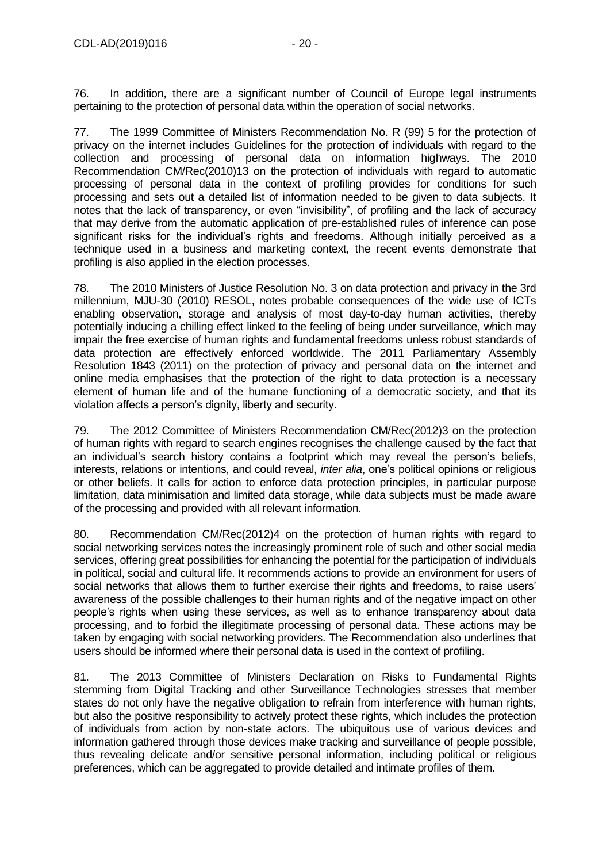76. In addition, there are a significant number of Council of Europe legal instruments pertaining to the protection of personal data within the operation of social networks.

77. The 1999 Committee of Ministers Recommendation No. R (99) 5 for the protection of privacy on the internet includes Guidelines for the protection of individuals with regard to the collection and processing of personal data on information highways. The 2010 Recommendation CM/Rec(2010)13 on the protection of individuals with regard to automatic processing of personal data in the context of profiling provides for conditions for such processing and sets out a detailed list of information needed to be given to data subjects. It notes that the lack of transparency, or even "invisibility", of profiling and the lack of accuracy that may derive from the automatic application of pre-established rules of inference can pose significant risks for the individual's rights and freedoms. Although initially perceived as a technique used in a business and marketing context, the recent events demonstrate that profiling is also applied in the election processes.

78. The 2010 Ministers of Justice Resolution No. 3 on data protection and privacy in the 3rd millennium, MJU-30 (2010) RESOL, notes probable consequences of the wide use of ICTs enabling observation, storage and analysis of most day-to-day human activities, thereby potentially inducing a chilling effect linked to the feeling of being under surveillance, which may impair the free exercise of human rights and fundamental freedoms unless robust standards of data protection are effectively enforced worldwide. The 2011 Parliamentary Assembly Resolution 1843 (2011) on the protection of privacy and personal data on the internet and online media emphasises that the protection of the right to data protection is a necessary element of human life and of the humane functioning of a democratic society, and that its violation affects a person's dignity, liberty and security.

79. The 2012 Committee of Ministers Recommendation CM/Rec(2012)3 on the protection of human rights with regard to search engines recognises the challenge caused by the fact that an individual's search history contains a footprint which may reveal the person's beliefs, interests, relations or intentions, and could reveal, *inter alia*, one's political opinions or religious or other beliefs. It calls for action to enforce data protection principles, in particular purpose limitation, data minimisation and limited data storage, while data subjects must be made aware of the processing and provided with all relevant information.

80. Recommendation CM/Rec(2012)4 on the protection of human rights with regard to social networking services notes the increasingly prominent role of such and other social media services, offering great possibilities for enhancing the potential for the participation of individuals in political, social and cultural life. It recommends actions to provide an environment for users of social networks that allows them to further exercise their rights and freedoms, to raise users' awareness of the possible challenges to their human rights and of the negative impact on other people's rights when using these services, as well as to enhance transparency about data processing, and to forbid the illegitimate processing of personal data. These actions may be taken by engaging with social networking providers. The Recommendation also underlines that users should be informed where their personal data is used in the context of profiling.

81. The 2013 Committee of Ministers Declaration on Risks to Fundamental Rights stemming from Digital Tracking and other Surveillance Technologies stresses that member states do not only have the negative obligation to refrain from interference with human rights, but also the positive responsibility to actively protect these rights, which includes the protection of individuals from action by non-state actors. The ubiquitous use of various devices and information gathered through those devices make tracking and surveillance of people possible, thus revealing delicate and/or sensitive personal information, including political or religious preferences, which can be aggregated to provide detailed and intimate profiles of them.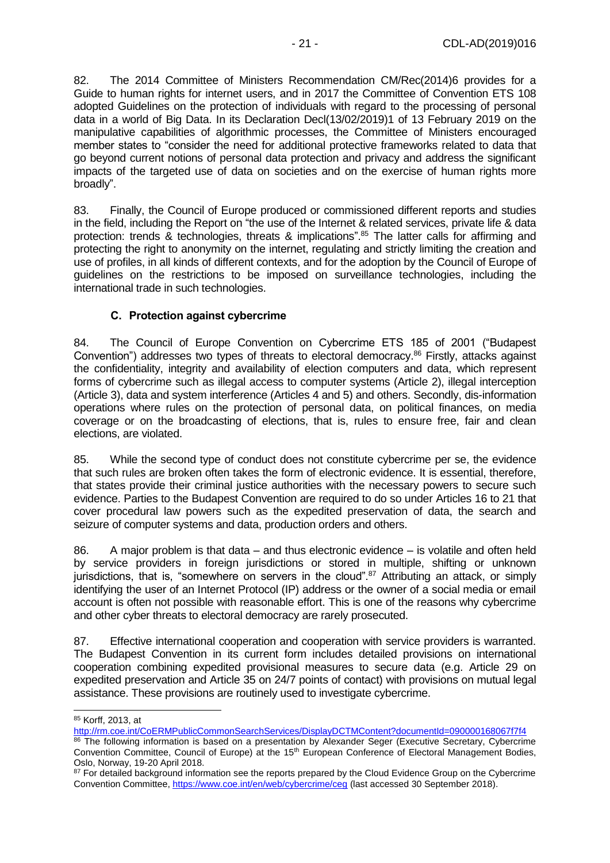82. The 2014 Committee of Ministers Recommendation CM/Rec(2014)6 provides for a Guide to human rights for internet users, and in 2017 the Committee of Convention ETS 108 adopted Guidelines on the protection of individuals with regard to the processing of personal data in a world of Big Data. In its Declaration Decl(13/02/2019)1 of 13 February 2019 on the manipulative capabilities of algorithmic processes, the Committee of Ministers encouraged member states to "consider the need for additional protective frameworks related to data that go beyond current notions of personal data protection and privacy and address the significant impacts of the targeted use of data on societies and on the exercise of human rights more broadly".

83. Finally, the Council of Europe produced or commissioned different reports and studies in the field, including the Report on "the use of the Internet & related services, private life & data protection: trends & technologies, threats & implications".<sup>85</sup> The latter calls for affirming and protecting the right to anonymity on the internet, regulating and strictly limiting the creation and use of profiles, in all kinds of different contexts, and for the adoption by the Council of Europe of guidelines on the restrictions to be imposed on surveillance technologies, including the international trade in such technologies.

#### **C. Protection against cybercrime**

<span id="page-20-0"></span>84. The Council of Europe Convention on Cybercrime ETS 185 of 2001 ("Budapest Convention") addresses two types of threats to electoral democracy.<sup>86</sup> Firstly, attacks against the confidentiality, integrity and availability of election computers and data, which represent forms of cybercrime such as illegal access to computer systems (Article 2), illegal interception (Article 3), data and system interference (Articles 4 and 5) and others. Secondly, dis-information operations where rules on the protection of personal data, on political finances, on media coverage or on the broadcasting of elections, that is, rules to ensure free, fair and clean elections, are violated.

85. While the second type of conduct does not constitute cybercrime per se, the evidence that such rules are broken often takes the form of electronic evidence. It is essential, therefore, that states provide their criminal justice authorities with the necessary powers to secure such evidence. Parties to the Budapest Convention are required to do so under Articles 16 to 21 that cover procedural law powers such as the expedited preservation of data, the search and seizure of computer systems and data, production orders and others.

86. A major problem is that data – and thus electronic evidence – is volatile and often held by service providers in foreign jurisdictions or stored in multiple, shifting or unknown jurisdictions, that is, "somewhere on servers in the cloud".<sup>87</sup> Attributing an attack, or simply identifying the user of an Internet Protocol (IP) address or the owner of a social media or email account is often not possible with reasonable effort. This is one of the reasons why cybercrime and other cyber threats to electoral democracy are rarely prosecuted.

87. Effective international cooperation and cooperation with service providers is warranted. The Budapest Convention in its current form includes detailed provisions on international cooperation combining expedited provisional measures to secure data (e.g. Article 29 on expedited preservation and Article 35 on 24/7 points of contact) with provisions on mutual legal assistance. These provisions are routinely used to investigate cybercrime.

<sup>-</sup><sup>85</sup> Korff, 2013, at

<http://rm.coe.int/CoERMPublicCommonSearchServices/DisplayDCTMContent?documentId=090000168067f7f4>

<sup>86</sup> The following information is based on a presentation by Alexander Seger (Executive Secretary, Cybercrime Convention Committee, Council of Europe) at the 15<sup>th</sup> European Conference of Electoral Management Bodies, Oslo, Norway, 19-20 April 2018.

<sup>&</sup>lt;sup>87</sup> For detailed background information see the reports prepared by the Cloud Evidence Group on the Cybercrime Convention Committee, <https://www.coe.int/en/web/cybercrime/ceg> (last accessed 30 September 2018).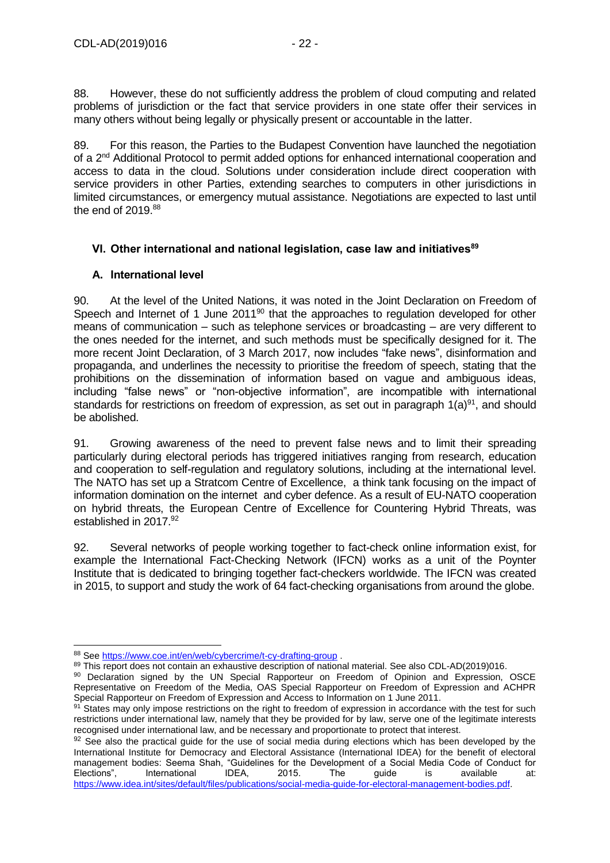88. However, these do not sufficiently address the problem of cloud computing and related problems of jurisdiction or the fact that service providers in one state offer their services in many others without being legally or physically present or accountable in the latter.

89. For this reason, the Parties to the Budapest Convention have launched the negotiation of a 2nd Additional Protocol to permit added options for enhanced international cooperation and access to data in the cloud. Solutions under consideration include direct cooperation with service providers in other Parties, extending searches to computers in other jurisdictions in limited circumstances, or emergency mutual assistance. Negotiations are expected to last until the end of  $2019.88$ 

# <span id="page-21-0"></span>**VI. Other international and national legislation, case law and initiatives<sup>89</sup>**

### <span id="page-21-1"></span>**A. International level**

90. At the level of the United Nations, it was noted in the Joint Declaration on Freedom of Speech and Internet of 1 June 2011<sup>90</sup> that the approaches to regulation developed for other means of communication – such as telephone services or broadcasting – are very different to the ones needed for the internet, and such methods must be specifically designed for it. The more recent Joint Declaration, of 3 March 2017, now includes "fake news", disinformation and propaganda, and underlines the necessity to prioritise the freedom of speech, stating that the prohibitions on the dissemination of information based on vague and ambiguous ideas, including "false news" or "non-objective information", are incompatible with international standards for restrictions on freedom of expression, as set out in paragraph  $1(a)^{91}$ , and should be abolished.

91. Growing awareness of the need to prevent false news and to limit their spreading particularly during electoral periods has triggered initiatives ranging from research, education and cooperation to self-regulation and regulatory solutions, including at the international level. The NATO has set up a Stratcom Centre of Excellence, a think tank focusing on the impact of information domination on the internet and cyber defence. As a result of EU-NATO cooperation on hybrid threats, the European Centre of Excellence for Countering Hybrid Threats, was established in 2017.<sup>92</sup>

92. Several networks of people working together to fact-check online information exist, for example the International Fact-Checking Network (IFCN) works as a unit of the Poynter Institute that is dedicated to bringing together fact-checkers worldwide. The IFCN was created in 2015, to support and study the work of 64 fact-checking organisations from around the globe.

88 Se[e https://www.coe.int/en/web/cybercrime/t-cy-drafting-group](https://www.coe.int/en/web/cybercrime/t-cy-drafting-group).

<sup>89</sup> This report does not contain an exhaustive description of national material. See also CDL-AD(2019)016.

<sup>90</sup> Declaration signed by the UN Special Rapporteur on Freedom of Opinion and Expression, OSCE Representative on Freedom of the Media, OAS Special Rapporteur on Freedom of Expression and ACHPR Special Rapporteur on Freedom of Expression and Access to Information on 1 June 2011.

<sup>91</sup> States may only impose restrictions on the right to freedom of expression in accordance with the test for such restrictions under international law, namely that they be provided for by law, serve one of the legitimate interests recognised under international law, and be necessary and proportionate to protect that interest.

<sup>92</sup> See also the practical guide for the use of social media during elections which has been developed by the International Institute for Democracy and Electoral Assistance (International IDEA) for the benefit of electoral management bodies: Seema Shah, "Guidelines for the Development of a Social Media Code of Conduct for<br>Elections". International IDEA, 2015. The guide is available at: Elections", International IDEA, 2015. The guide is available at: [https://www.idea.int/sites/default/files/publications/social-media-guide-for-electoral-management-bodies.pdf.](https://www.idea.int/sites/default/files/publications/social-media-guide-for-electoral-management-bodies.pdf)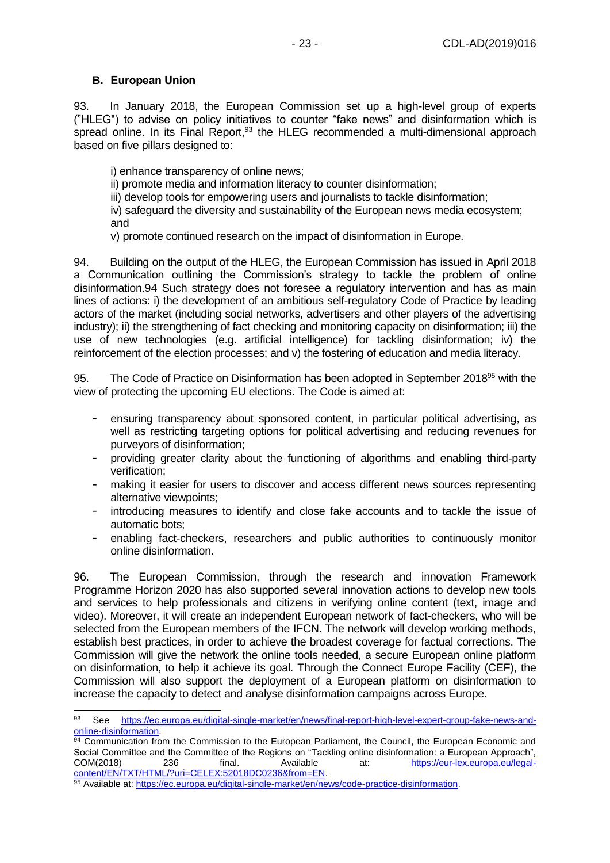#### <span id="page-22-0"></span>**B. European Union**

-

93. In January 2018, the European Commission set up a high-level group of experts ("HLEG") to advise on policy initiatives to counter "fake news" and disinformation which is spread online. In its Final Report, $93$  the HLEG recommended a multi-dimensional approach based on five pillars designed to:

i) enhance transparency of online news;

ii) promote media and information literacy to counter disinformation;

iii) develop tools for empowering users and journalists to tackle disinformation;

iv) safeguard the diversity and sustainability of the European news media ecosystem; and

v) promote continued research on the impact of disinformation in Europe.

94. Building on the output of the HLEG, the European Commission has issued in April 2018 a Communication outlining the Commission's strategy to tackle the problem of online disinformation.94 Such strategy does not foresee a regulatory intervention and has as main lines of actions: i) the development of an ambitious self-regulatory Code of Practice by leading actors of the market (including social networks, advertisers and other players of the advertising industry); ii) the strengthening of fact checking and monitoring capacity on disinformation; iii) the use of new technologies (e.g. artificial intelligence) for tackling disinformation; iv) the reinforcement of the election processes; and v) the fostering of education and media literacy.

95. The Code of Practice on Disinformation has been adopted in September 2018<sup>95</sup> with the view of protecting the upcoming EU elections. The Code is aimed at:

- ensuring transparency about sponsored content, in particular political advertising, as well as restricting targeting options for political advertising and reducing revenues for purveyors of disinformation;
- providing greater clarity about the functioning of algorithms and enabling third-party verification;
- making it easier for users to discover and access different news sources representing alternative viewpoints;
- introducing measures to identify and close fake accounts and to tackle the issue of automatic bots;
- enabling fact-checkers, researchers and public authorities to continuously monitor online disinformation.

96. The European Commission, through the research and innovation Framework Programme Horizon 2020 has also supported several innovation actions to develop new tools and services to help professionals and citizens in verifying online content (text, image and video). Moreover, it will create an independent European network of fact-checkers, who will be selected from the European members of the IFCN. The network will develop working methods, establish best practices, in order to achieve the broadest coverage for factual corrections. The Commission will give the network the online tools needed, a secure European online platform on disinformation, to help it achieve its goal. Through the Connect Europe Facility (CEF), the Commission will also support the deployment of a European platform on disinformation to increase the capacity to detect and analyse disinformation campaigns across Europe.

<sup>93</sup> See [https://ec.europa.eu/digital-single-market/en/news/final-report-high-level-expert-group-fake-news-and](https://ec.europa.eu/digital-single-market/en/news/final-report-high-level-expert-group-fake-news-and-online-disinformation)[online-disinformation.](https://ec.europa.eu/digital-single-market/en/news/final-report-high-level-expert-group-fake-news-and-online-disinformation)

<sup>94</sup> Communication from the Commission to the European Parliament, the Council, the European Economic and Social Committee and the Committee of the Regions on "Tackling online disinformation: a European Approach", COM(2018) 236 final. Available at: [https://eur-lex.europa.eu/legal](https://eur-lex.europa.eu/legal-content/EN/TXT/HTML/?uri=CELEX:52018DC0236&from=EN)[content/EN/TXT/HTML/?uri=CELEX:52018DC0236&from=EN.](https://eur-lex.europa.eu/legal-content/EN/TXT/HTML/?uri=CELEX:52018DC0236&from=EN)

<sup>95</sup> Available at[: https://ec.europa.eu/digital-single-market/en/news/code-practice-disinformation.](https://ec.europa.eu/digital-single-market/en/news/code-practice-disinformation)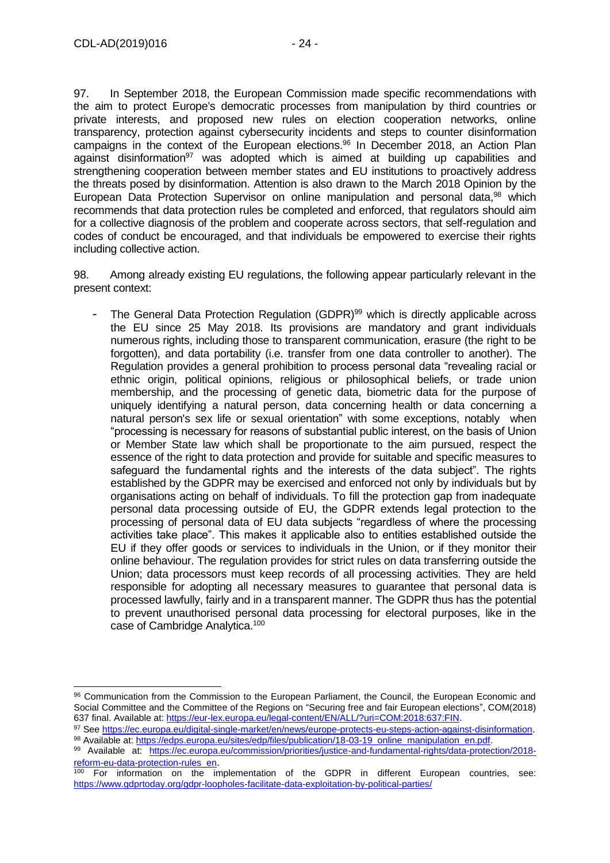-

97. In September 2018, the European Commission made specific recommendations with the aim to protect Europe's democratic processes from manipulation by third countries or private interests, and proposed new rules on election cooperation networks, online transparency, protection against cybersecurity incidents and steps to counter disinformation campaigns in the context of the European elections. <sup>96</sup> In December 2018, an Action Plan against disinformation<sup>97</sup> was adopted which is aimed at building up capabilities and strengthening cooperation between member states and EU institutions to proactively address the threats posed by disinformation. Attention is also drawn to the March 2018 Opinion by the European Data Protection Supervisor on online manipulation and personal data,<sup>98</sup> which recommends that data protection rules be completed and enforced, that regulators should aim for a collective diagnosis of the problem and cooperate across sectors, that self-regulation and codes of conduct be encouraged, and that individuals be empowered to exercise their rights including collective action.

98. Among already existing EU regulations, the following appear particularly relevant in the present context:

The General Data Protection Regulation (GDPR)<sup>99</sup> which is directly applicable across the EU since 25 May 2018. Its provisions are mandatory and grant individuals numerous rights, including those to transparent communication, erasure (the right to be forgotten), and data portability (i.e. transfer from one data controller to another). The Regulation provides a general prohibition to process personal data "revealing racial or ethnic origin, political opinions, religious or philosophical beliefs, or trade union membership, and the processing of genetic data, biometric data for the purpose of uniquely identifying a natural person, data concerning health or data concerning a natural person's sex life or sexual orientation" with some exceptions, notably when "processing is necessary for reasons of substantial public interest, on the basis of Union or Member State law which shall be proportionate to the aim pursued, respect the essence of the right to data protection and provide for suitable and specific measures to safeguard the fundamental rights and the interests of the data subject". The rights established by the GDPR may be exercised and enforced not only by individuals but by organisations acting on behalf of individuals. To fill the protection gap from inadequate personal data processing outside of EU, the GDPR extends legal protection to the processing of personal data of EU data subjects "regardless of where the processing activities take place". This makes it applicable also to entities established outside the EU if they offer goods or services to individuals in the Union, or if they monitor their online behaviour. The regulation provides for strict rules on data transferring outside the Union; data processors must keep records of all processing activities. They are held responsible for adopting all necessary measures to guarantee that personal data is processed lawfully, fairly and in a transparent manner. The GDPR thus has the potential to prevent unauthorised personal data processing for electoral purposes, like in the case of Cambridge Analytica.<sup>100</sup>

<sup>97</sup> Se[e https://ec.europa.eu/digital-single-market/en/news/europe-protects-eu-steps-action-against-disinformation](https://ec.europa.eu/digital-single-market/en/news/europe-protects-eu-steps-action-against-disinformation). 98 Available at[: https://edps.europa.eu/sites/edp/files/publication/18-03-19\\_online\\_manipulation\\_en.pdf.](https://edps.europa.eu/sites/edp/files/publication/18-03-19_online_manipulation_en.pdf)

<sup>96</sup> Communication from the Commission to the European Parliament, the Council, the European Economic and Social Committee and the Committee of the Regions on "Securing free and fair European elections", COM(2018) 637 final. Available at[: https://eur-lex.europa.eu/legal-content/EN/ALL/?uri=COM:2018:637:FIN.](https://eur-lex.europa.eu/legal-content/EN/ALL/?uri=COM:2018:637:FIN)

<sup>99</sup> Available at: [https://ec.europa.eu/commission/priorities/justice-and-fundamental-rights/data-protection/2018](https://ec.europa.eu/commission/priorities/justice-and-fundamental-rights/data-protection/2018-reform-eu-data-protection-rules_en) [reform-eu-data-protection-rules\\_en](https://ec.europa.eu/commission/priorities/justice-and-fundamental-rights/data-protection/2018-reform-eu-data-protection-rules_en).

<sup>&</sup>lt;sup>100</sup> For information on the implementation of the GDPR in different European countries, see: <https://www.gdprtoday.org/gdpr-loopholes-facilitate-data-exploitation-by-political-parties/>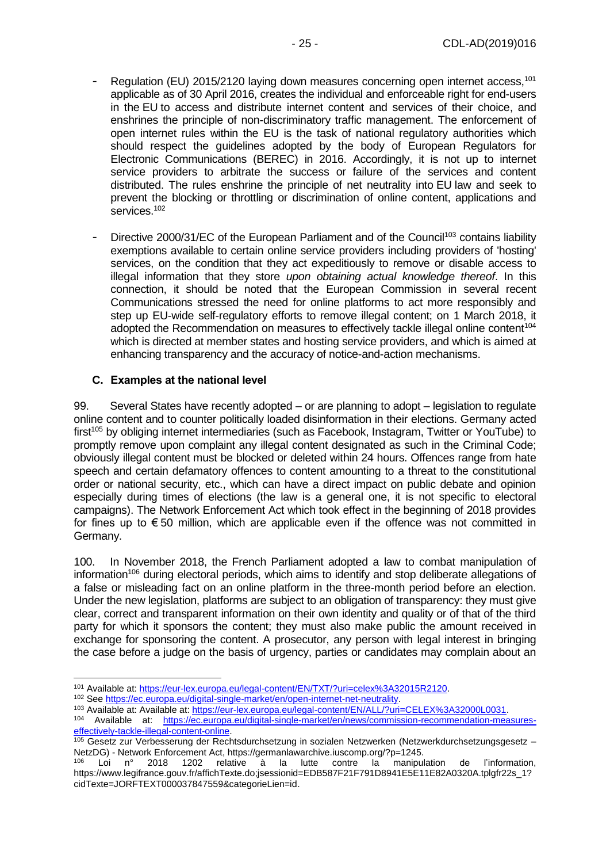- Regulation (EU) 2015/2120 laying down measures concerning open internet access,<sup>101</sup> applicable as of 30 April 2016, creates the individual and enforceable right for end-users in the EU to access and distribute internet content and services of their choice, and enshrines the principle of non-discriminatory traffic management. The enforcement of open internet rules within the EU is the task of national regulatory authorities which should respect the guidelines adopted by the body of European Regulators for Electronic Communications (BEREC) in 2016. Accordingly, it is not up to internet service providers to arbitrate the success or failure of the services and content distributed. The rules enshrine the principle of net neutrality into EU law and seek to prevent the blocking or throttling or discrimination of online content, applications and services.<sup>102</sup>
- Directive 2000/31/EC of the European Parliament and of the Council<sup>103</sup> contains liability exemptions available to certain online service providers including providers of 'hosting' services, on the condition that they act expeditiously to remove or disable access to illegal information that they store *upon obtaining actual knowledge thereof*. In this connection, it should be noted that the European Commission in several recent Communications stressed the need for online platforms to act more responsibly and step up EU-wide self-regulatory efforts to remove illegal content; on 1 March 2018, it adopted the Recommendation on measures to effectively tackle illegal online content<sup>104</sup> which is directed at member states and hosting service providers, and which is aimed at enhancing transparency and the accuracy of notice-and-action mechanisms.

#### <span id="page-24-0"></span>**C. Examples at the national level**

99. Several States have recently adopted – or are planning to adopt – legislation to regulate online content and to counter politically loaded disinformation in their elections. Germany acted first<sup>105</sup> by obliging internet intermediaries (such as Facebook, Instagram, Twitter or YouTube) to promptly remove upon complaint any illegal content designated as such in the Criminal Code; obviously illegal content must be blocked or deleted within 24 hours. Offences range from hate speech and certain defamatory offences to content amounting to a threat to the constitutional order or national security, etc., which can have a direct impact on public debate and opinion especially during times of elections (the law is a general one, it is not specific to electoral campaigns). The Network Enforcement Act which took effect in the beginning of 2018 provides for fines up to  $\epsilon$  50 million, which are applicable even if the offence was not committed in Germany.

100. In November 2018, the French Parliament adopted a law to combat manipulation of information<sup>106</sup> during electoral periods, which aims to identify and stop deliberate allegations of a false or misleading fact on an online platform in the three-month period before an election. Under the new legislation, platforms are subject to an obligation of transparency: they must give clear, correct and transparent information on their own identity and quality or of that of the third party for which it sponsors the content; they must also make public the amount received in exchange for sponsoring the content. A prosecutor, any person with legal interest in bringing the case before a judge on the basis of urgency, parties or candidates may complain about an

<sup>-</sup><sup>101</sup> Available at: [https://eur-lex.europa.eu/legal-content/EN/TXT/?uri=celex%3A32015R2120.](https://eur-lex.europa.eu/legal-content/EN/TXT/?uri=celex%3A32015R2120)

<sup>102</sup> See [https://ec.europa.eu/digital-single-market/en/open-internet-net-neutrality.](https://ec.europa.eu/digital-single-market/en/open-internet-net-neutrality)

<sup>103</sup> Available at: Available at[: https://eur-lex.europa.eu/legal-content/EN/ALL/?uri=CELEX%3A32000L0031.](https://eur-lex.europa.eu/legal-content/EN/ALL/?uri=CELEX%3A32000L0031)

<sup>104</sup> Available at: [https://ec.europa.eu/digital-single-market/en/news/commission-recommendation-measures](https://ec.europa.eu/digital-single-market/en/news/commission-recommendation-measures-effectively-tackle-illegal-content-online)[effectively-tackle-illegal-content-online.](https://ec.europa.eu/digital-single-market/en/news/commission-recommendation-measures-effectively-tackle-illegal-content-online)

<sup>105</sup> [Gesetz zur Verbesserung der Rechtsdurchsetzung in sozialen Netzwerken \(Netzwerkdurchsetzungsgesetz –](https://www.bmjv.de/SharedDocs/Gesetzgebungsverfahren/DE/NetzDG.html) [NetzDG\)](https://www.bmjv.de/SharedDocs/Gesetzgebungsverfahren/DE/NetzDG.html) - Network Enforcement Act, https://germanlawarchive.iuscomp.org/?p=1245.

<sup>106</sup> Loi n° 2018 1202 relative à la lutte contre la manipulation de l'information, https://www.legifrance.gouv.fr/affichTexte.do;jsessionid=EDB587F21F791D8941E5E11E82A0320A.tplgfr22s\_1? cidTexte=JORFTEXT000037847559&categorieLien=id.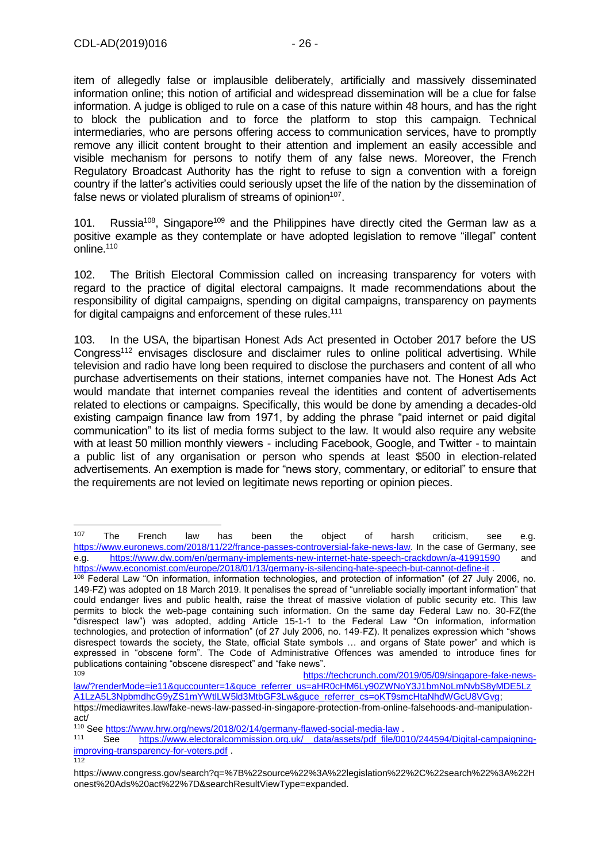item of allegedly false or implausible deliberately, artificially and massively disseminated information online; this notion of artificial and widespread dissemination will be a clue for false information. A judge is obliged to rule on a case of this nature within 48 hours, and has the right to block the publication and to force the platform to stop this campaign. Technical intermediaries, who are persons offering access to communication services, have to promptly remove any illicit content brought to their attention and implement an easily accessible and visible mechanism for persons to notify them of any false news. Moreover, the French Regulatory Broadcast Authority has the right to refuse to sign a convention with a foreign country if the latter's activities could seriously upset the life of the nation by the dissemination of false news or violated pluralism of streams of opinion<sup>107</sup>.

101. Russia<sup>108</sup>. Singapore<sup>109</sup> and the Philippines have directly cited the German law as a positive example as they contemplate or have adopted legislation to remove "illegal" content online.<sup>110</sup>

102. The British Electoral Commission called on increasing transparency for voters with regard to the practice of digital electoral campaigns. It made recommendations about the responsibility of digital campaigns, spending on digital campaigns, transparency on payments for digital campaigns and enforcement of these rules.<sup>111</sup>

103. In the USA, the bipartisan Honest Ads Act presented in October 2017 before the US Congress<sup>112</sup> envisages disclosure and disclaimer rules to online political advertising. While television and radio have long been required to disclose the purchasers and content of all who purchase advertisements on their stations, internet companies have not. The Honest Ads Act would mandate that internet companies reveal the identities and content of advertisements related to elections or campaigns. Specifically, this would be done by amending a decades-old existing campaign finance law from 1971, by adding the phrase "paid internet or paid digital communication" to its list of media forms subject to the law. It would also require any website with at least 50 million monthly viewers - including Facebook, Google, and Twitter - to maintain a public list of any organisation or person who spends at least \$500 in election-related advertisements. An exemption is made for "news story, commentary, or editorial" to ensure that the requirements are not levied on legitimate news reporting or opinion pieces.

 $\overline{112}$ 

 $107$  The French law has been the object of harsh criticism, see e.g. [https://www.euronews.com/2018/11/22/france-passes-controversial-fake-news-law.](https://www.euronews.com/2018/11/22/france-passes-controversial-fake-news-law) In the case of Germany, see e.g. <https://www.dw.com/en/germany-implements-new-internet-hate-speech-crackdown/a-41991590> and <https://www.economist.com/europe/2018/01/13/germany-is-silencing-hate-speech-but-cannot-define-it> .

<sup>108</sup> Federal Law "On information, information technologies, and protection of information" (of 27 July 2006, no. 149-FZ) was adopted on 18 March 2019. It penalises the spread of "unreliable socially important information" that could endanger lives and public health, raise the threat of massive violation of public security etc. This law permits to block the web-page containing such information. On the same day Federal Law no. 30-FZ(the "disrespect law") was adopted, adding Article 15-1-1 to the Federal Law "On information, information technologies, and protection of information" (of 27 July 2006, no. 149-FZ). It penalizes expression which "shows disrespect towards the society, the State, official State symbols … and organs of State power" and which is expressed in "obscene form". The Code of Administrative Offences was amended to introduce fines for publications containing "obscene disrespect" and "fake news".<br>109<br>https:

[https://techcrunch.com/2019/05/09/singapore-fake-news](https://techcrunch.com/2019/05/09/singapore-fake-news-law/?renderMode=ie11&guccounter=1&guce_referrer_us=aHR0cHM6Ly90ZWNoY3J1bmNoLmNvbS8yMDE5LzA1LzA5L3NpbmdhcG9yZS1mYWtlLW5ld3MtbGF3Lw&guce_referrer_cs=oKT9smcHtaNhdWGcU8VGvg)[law/?renderMode=ie11&guccounter=1&guce\\_referrer\\_us=aHR0cHM6Ly90ZWNoY3J1bmNoLmNvbS8yMDE5Lz](https://techcrunch.com/2019/05/09/singapore-fake-news-law/?renderMode=ie11&guccounter=1&guce_referrer_us=aHR0cHM6Ly90ZWNoY3J1bmNoLmNvbS8yMDE5LzA1LzA5L3NpbmdhcG9yZS1mYWtlLW5ld3MtbGF3Lw&guce_referrer_cs=oKT9smcHtaNhdWGcU8VGvg) [A1LzA5L3NpbmdhcG9yZS1mYWtlLW5ld3MtbGF3Lw&guce\\_referrer\\_cs=oKT9smcHtaNhdWGcU8VGvg;](https://techcrunch.com/2019/05/09/singapore-fake-news-law/?renderMode=ie11&guccounter=1&guce_referrer_us=aHR0cHM6Ly90ZWNoY3J1bmNoLmNvbS8yMDE5LzA1LzA5L3NpbmdhcG9yZS1mYWtlLW5ld3MtbGF3Lw&guce_referrer_cs=oKT9smcHtaNhdWGcU8VGvg)

https://mediawrites.law/fake-news-law-passed-in-singapore-protection-from-online-falsehoods-and-manipulationact/

<sup>110</sup> See<https://www.hrw.org/news/2018/02/14/germany-flawed-social-media-law> .

See https://www.electoralcommission.org.uk/ data/assets/pdf file/0010/244594/Digital-campaigning[improving-transparency-for-voters.pdf](https://www.electoralcommission.org.uk/__data/assets/pdf_file/0010/244594/Digital-campaigning-improving-transparency-for-voters.pdf) .

https://www.congress.gov/search?q=%7B%22source%22%3A%22legislation%22%2C%22search%22%3A%22H onest%20Ads%20act%22%7D&searchResultViewType=expanded.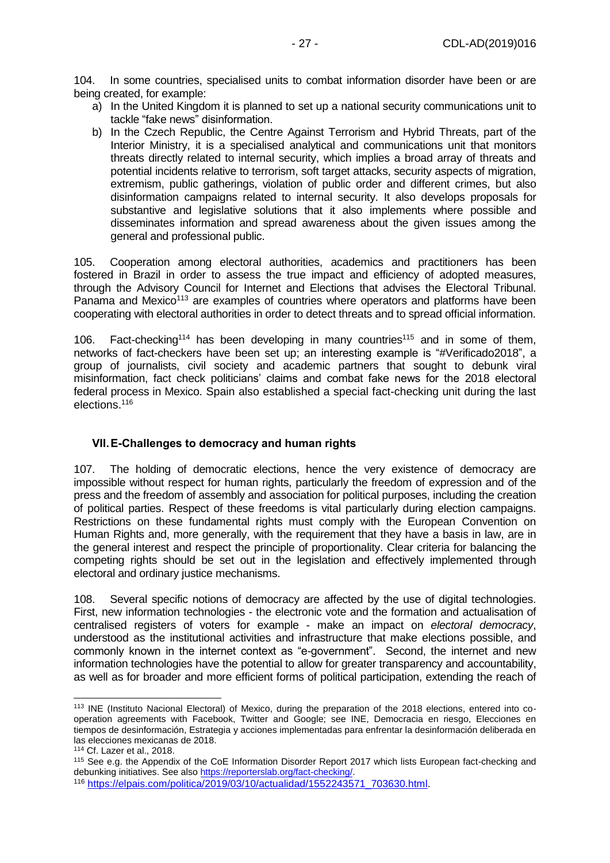104. In some countries, specialised units to combat information disorder have been or are being created, for example:

- a) In the United Kingdom it is planned to set up a national security communications unit to tackle "fake news" disinformation.
- b) In the Czech Republic, the Centre Against Terrorism and Hybrid Threats, part of the Interior Ministry, it is a specialised analytical and communications unit that monitors threats directly related to internal security, which implies a broad array of threats and potential incidents relative to terrorism, soft target attacks, security aspects of migration, extremism, public gatherings, violation of public order and different crimes, but also disinformation campaigns related to internal security. It also develops proposals for substantive and legislative solutions that it also implements where possible and disseminates information and spread awareness about the given issues among the general and professional public.

105. Cooperation among electoral authorities, academics and practitioners has been fostered in Brazil in order to assess the true impact and efficiency of adopted measures, through the Advisory Council for Internet and Elections that advises the Electoral Tribunal. Panama and Mexico<sup>113</sup> are examples of countries where operators and platforms have been cooperating with electoral authorities in order to detect threats and to spread official information.

106. Fact-checking<sup>114</sup> has been developing in many countries<sup>115</sup> and in some of them. networks of fact-checkers have been set up; an interesting example is "#Verificado2018", a group of journalists, civil society and academic partners that sought to debunk viral misinformation, fact check politicians' claims and combat fake news for the 2018 electoral federal process in Mexico. Spain also established a special fact-checking unit during the last elections.<sup>116</sup>

### <span id="page-26-0"></span>**VII.E-Challenges to democracy and human rights**

107. The holding of democratic elections, hence the very existence of democracy are impossible without respect for human rights, particularly the freedom of expression and of the press and the freedom of assembly and association for political purposes, including the creation of political parties. Respect of these freedoms is vital particularly during election campaigns. Restrictions on these fundamental rights must comply with the European Convention on Human Rights and, more generally, with the requirement that they have a basis in law, are in the general interest and respect the principle of proportionality. Clear criteria for balancing the competing rights should be set out in the legislation and effectively implemented through electoral and ordinary justice mechanisms.

108. Several specific notions of democracy are affected by the use of digital technologies. First, new information technologies - the electronic vote and the formation and actualisation of centralised registers of voters for example - make an impact on *electoral democracy*, understood as the institutional activities and infrastructure that make elections possible, and commonly known in the internet context as "e-government". Second, the internet and new information technologies have the potential to allow for greater transparency and accountability, as well as for broader and more efficient forms of political participation, extending the reach of

<sup>&</sup>lt;sup>113</sup> INE (Instituto Nacional Electoral) of Mexico, during the preparation of the 2018 elections, entered into cooperation agreements with Facebook, Twitter and Google; see INE, Democracia en riesgo, Elecciones en tiempos de desinformación, Estrategia y acciones implementadas para enfrentar la desinformación deliberada en las elecciones mexicanas de 2018.

<sup>114</sup> Cf. Lazer et al., 2018.

<sup>115</sup> See e.g. the Appendix of the CoE Information Disorder Report 2017 which lists European fact-checking and debunking initiatives. See als[o https://reporterslab.org/fact-checking/.](https://reporterslab.org/fact-checking/)

<sup>116</sup> [https://elpais.com/politica/2019/03/10/actualidad/1552243571\\_703630.html.](https://elpais.com/politica/2019/03/10/actualidad/1552243571_703630.html)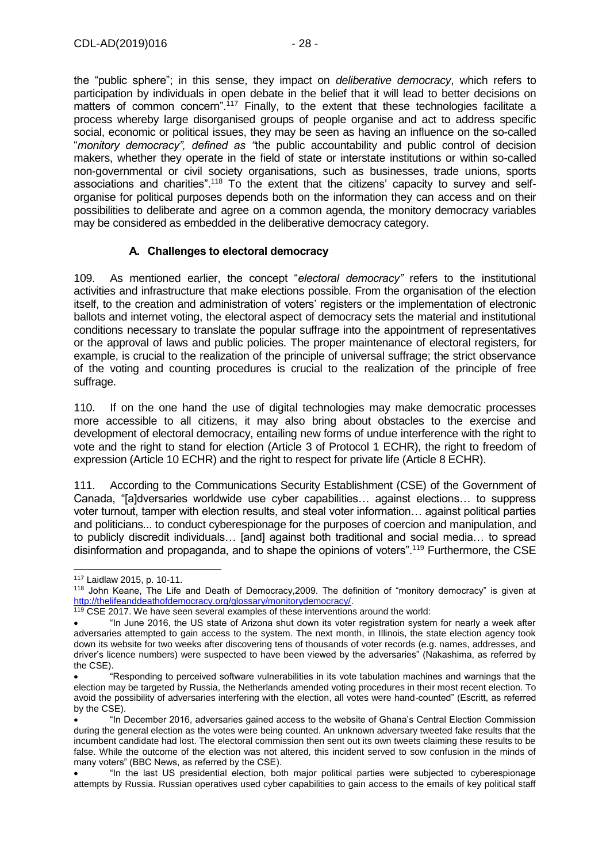the "public sphere"; in this sense, they impact on *deliberative democracy*, which refers to participation by individuals in open debate in the belief that it will lead to better decisions on matters of common concern<sup>" 117</sup> Finally, to the extent that these technologies facilitate a process whereby large disorganised groups of people organise and act to address specific social, economic or political issues, they may be seen as having an influence on the so-called "*monitory democracy", defined as "*the public accountability and public control of decision makers, whether they operate in the field of state or interstate institutions or within so-called non-governmental or civil society organisations, such as businesses, trade unions, sports associations and charities".<sup>118</sup> To the extent that the citizens' capacity to survey and selforganise for political purposes depends both on the information they can access and on their possibilities to deliberate and agree on a common agenda, the monitory democracy variables may be considered as embedded in the deliberative democracy category.

### **A. Challenges to electoral democracy**

<span id="page-27-0"></span>109. As mentioned earlier, the concept "*electoral democracy"* refers to the institutional activities and infrastructure that make elections possible. From the organisation of the election itself, to the creation and administration of voters' registers or the implementation of electronic ballots and internet voting, the electoral aspect of democracy sets the material and institutional conditions necessary to translate the popular suffrage into the appointment of representatives or the approval of laws and public policies. The proper maintenance of electoral registers, for example, is crucial to the realization of the principle of universal suffrage; the strict observance of the voting and counting procedures is crucial to the realization of the principle of free suffrage.

110. If on the one hand the use of digital technologies may make democratic processes more accessible to all citizens, it may also bring about obstacles to the exercise and development of electoral democracy, entailing new forms of undue interference with the right to vote and the right to stand for election (Article 3 of Protocol 1 ECHR), the right to freedom of expression (Article 10 ECHR) and the right to respect for private life (Article 8 ECHR).

111. According to the Communications Security Establishment (CSE) of the Government of Canada, "[a]dversaries worldwide use cyber capabilities… against elections… to suppress voter turnout, tamper with election results, and steal voter information… against political parties and politicians... to conduct cyberespionage for the purposes of coercion and manipulation, and to publicly discredit individuals… [and] against both traditional and social media… to spread disinformation and propaganda, and to shape the opinions of voters".<sup>119</sup> Furthermore, the CSE

<sup>117</sup> Laidlaw 2015, p. 10-11.

<sup>118</sup> John Keane, The Life and Death of Democracy,2009. The definition of "monitory democracy" is given at [http://thelifeanddeathofdemocracy.org/glossary/monitorydemocracy/.](http://thelifeanddeathofdemocracy.org/glossary/monitorydemocracy/)

<sup>119</sup> CSE 2017. We have seen several examples of these interventions around the world:

<sup>•</sup> "In June 2016, the US state of Arizona shut down its voter registration system for nearly a week after adversaries attempted to gain access to the system. The next month, in Illinois, the state election agency took down its website for two weeks after discovering tens of thousands of voter records (e.g. names, addresses, and driver's licence numbers) were suspected to have been viewed by the adversaries" (Nakashima, as referred by the CSE).

<sup>•</sup> "Responding to perceived software vulnerabilities in its vote tabulation machines and warnings that the election may be targeted by Russia, the Netherlands amended voting procedures in their most recent election. To avoid the possibility of adversaries interfering with the election, all votes were hand-counted" (Escritt, as referred by the CSE).

<sup>•</sup> "In December 2016, adversaries gained access to the website of Ghana's Central Election Commission during the general election as the votes were being counted. An unknown adversary tweeted fake results that the incumbent candidate had lost. The electoral commission then sent out its own tweets claiming these results to be false. While the outcome of the election was not altered, this incident served to sow confusion in the minds of many voters" (BBC News, as referred by the CSE).

<sup>•</sup> "In the last US presidential election, both major political parties were subjected to cyberespionage attempts by Russia. Russian operatives used cyber capabilities to gain access to the emails of key political staff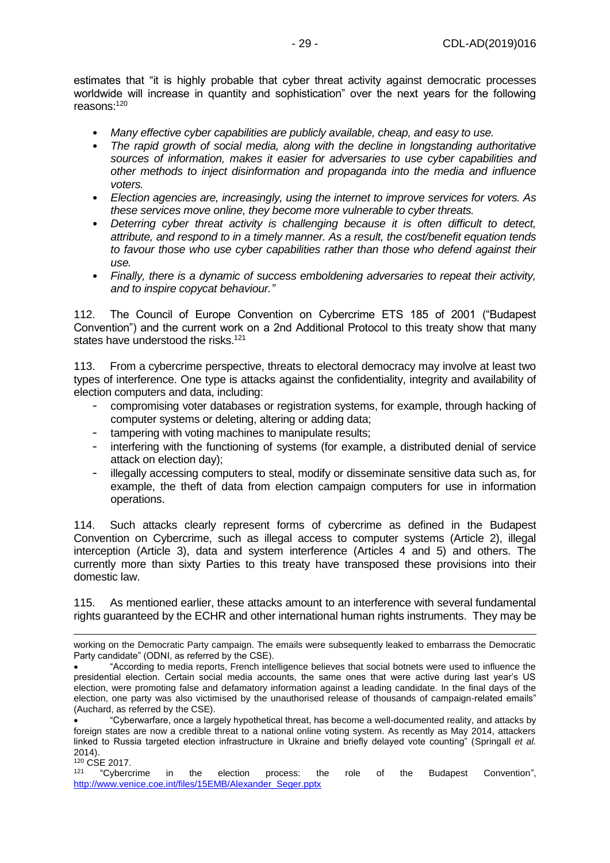estimates that "it is highly probable that cyber threat activity against democratic processes worldwide will increase in quantity and sophistication" over the next years for the following reasons:<sup>120</sup>

- *Many effective cyber capabilities are publicly available, cheap, and easy to use.*
- *The rapid growth of social media, along with the decline in longstanding authoritative sources of information, makes it easier for adversaries to use cyber capabilities and other methods to inject disinformation and propaganda into the media and influence voters.*
- *Election agencies are, increasingly, using the internet to improve services for voters. As these services move online, they become more vulnerable to cyber threats.*
- *Deterring cyber threat activity is challenging because it is often difficult to detect, attribute, and respond to in a timely manner. As a result, the cost/benefit equation tends to favour those who use cyber capabilities rather than those who defend against their use.*
- *Finally, there is a dynamic of success emboldening adversaries to repeat their activity, and to inspire copycat behaviour."*

112. The Council of Europe Convention on Cybercrime ETS 185 of 2001 ("Budapest Convention") and the current work on a 2nd Additional Protocol to this treaty show that many states have understood the risks.<sup>121</sup>

113. From a cybercrime perspective, threats to electoral democracy may involve at least two types of interference. One type is attacks against the confidentiality, integrity and availability of election computers and data, including:

- compromising voter databases or registration systems, for example, through hacking of computer systems or deleting, altering or adding data;
- tampering with voting machines to manipulate results;
- interfering with the functioning of systems (for example, a distributed denial of service attack on election day);
- illegally accessing computers to steal, modify or disseminate sensitive data such as, for example, the theft of data from election campaign computers for use in information operations.

114. Such attacks clearly represent forms of cybercrime as defined in the Budapest Convention on Cybercrime, such as illegal access to computer systems (Article 2), illegal interception (Article 3), data and system interference (Articles 4 and 5) and others. The currently more than sixty Parties to this treaty have transposed these provisions into their domestic law.

115. As mentioned earlier, these attacks amount to an interference with several fundamental rights guaranteed by the ECHR and other international human rights instruments. They may be

working on the Democratic Party campaign. The emails were subsequently leaked to embarrass the Democratic Party candidate" (ODNI, as referred by the CSE).

<sup>•</sup> "According to media reports, French intelligence believes that social botnets were used to influence the presidential election. Certain social media accounts, the same ones that were active during last year's US election, were promoting false and defamatory information against a leading candidate. In the final days of the election, one party was also victimised by the unauthorised release of thousands of campaign-related emails" (Auchard, as referred by the CSE).

<sup>•</sup> "Cyberwarfare, once a largely hypothetical threat, has become a well-documented reality, and attacks by foreign states are now a credible threat to a national online voting system. As recently as May 2014, attackers linked to Russia targeted election infrastructure in Ukraine and briefly delayed vote counting" (Springall *et al.*  2014).

 $^{120}$  CSE 2017.<br> $^{121}$  "Cybercrime" 121 in the election process: the role of the Budapest Convention", [http://www.venice.coe.int/files/15EMB/Alexander\\_Seger.pptx](http://www.venice.coe.int/files/15EMB/Alexander_Seger.pptx)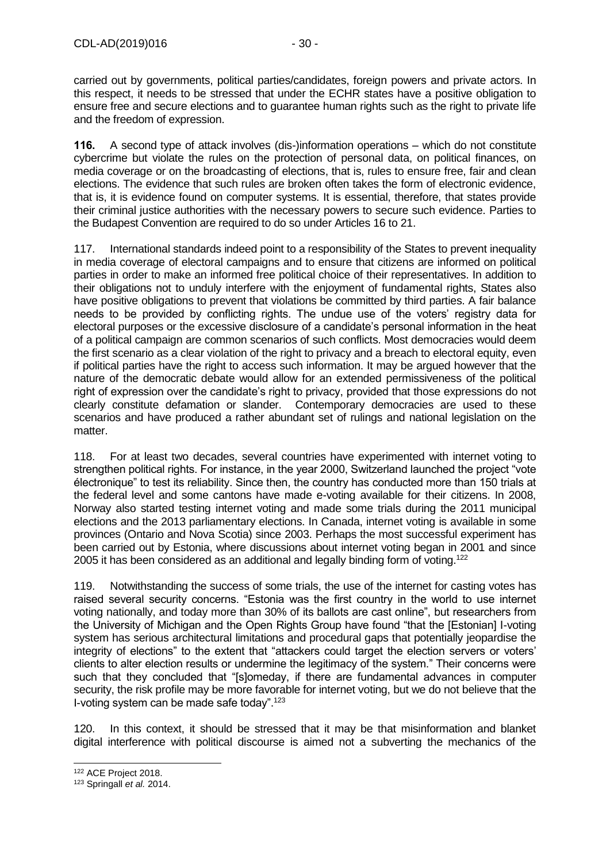carried out by governments, political parties/candidates, foreign powers and private actors. In this respect, it needs to be stressed that under the ECHR states have a positive obligation to ensure free and secure elections and to guarantee human rights such as the right to private life and the freedom of expression.

**116.** A second type of attack involves (dis-)information operations – which do not constitute cybercrime but violate the rules on the protection of personal data, on political finances, on media coverage or on the broadcasting of elections, that is, rules to ensure free, fair and clean elections. The evidence that such rules are broken often takes the form of electronic evidence, that is, it is evidence found on computer systems. It is essential, therefore, that states provide their criminal justice authorities with the necessary powers to secure such evidence. Parties to the Budapest Convention are required to do so under Articles 16 to 21.

117. International standards indeed point to a responsibility of the States to prevent inequality in media coverage of electoral campaigns and to ensure that citizens are informed on political parties in order to make an informed free political choice of their representatives. In addition to their obligations not to unduly interfere with the enjoyment of fundamental rights, States also have positive obligations to prevent that violations be committed by third parties. A fair balance needs to be provided by conflicting rights. The undue use of the voters' registry data for electoral purposes or the excessive disclosure of a candidate's personal information in the heat of a political campaign are common scenarios of such conflicts. Most democracies would deem the first scenario as a clear violation of the right to privacy and a breach to electoral equity, even if political parties have the right to access such information. It may be argued however that the nature of the democratic debate would allow for an extended permissiveness of the political right of expression over the candidate's right to privacy, provided that those expressions do not clearly constitute defamation or slander. Contemporary democracies are used to these scenarios and have produced a rather abundant set of rulings and national legislation on the matter.

118. For at least two decades, several countries have experimented with internet voting to strengthen political rights. For instance, in the year 2000, Switzerland launched the project "vote électronique" to test its reliability. Since then, the country has conducted more than 150 trials at the federal level and some cantons have made e-voting available for their citizens. In 2008, Norway also started testing internet voting and made some trials during the 2011 municipal elections and the 2013 parliamentary elections. In Canada, internet voting is available in some provinces (Ontario and Nova Scotia) since 2003. Perhaps the most successful experiment has been carried out by Estonia, where discussions about internet voting began in 2001 and since 2005 it has been considered as an additional and legally binding form of voting.<sup>122</sup>

119. Notwithstanding the success of some trials, the use of the internet for casting votes has raised several security concerns. "Estonia was the first country in the world to use internet voting nationally, and today more than 30% of its ballots are cast online", but researchers from the University of Michigan and the Open Rights Group have found "that the [Estonian] I-voting system has serious architectural limitations and procedural gaps that potentially jeopardise the integrity of elections" to the extent that "attackers could target the election servers or voters' clients to alter election results or undermine the legitimacy of the system." Their concerns were such that they concluded that "[s]omeday, if there are fundamental advances in computer security, the risk profile may be more favorable for internet voting, but we do not believe that the I-voting system can be made safe today".<sup>123</sup>

120. In this context, it should be stressed that it may be that misinformation and blanket digital interference with political discourse is aimed not a subverting the mechanics of the

<sup>-</sup><sup>122</sup> ACE Project 2018.

<sup>123</sup> Springall *et al.* 2014.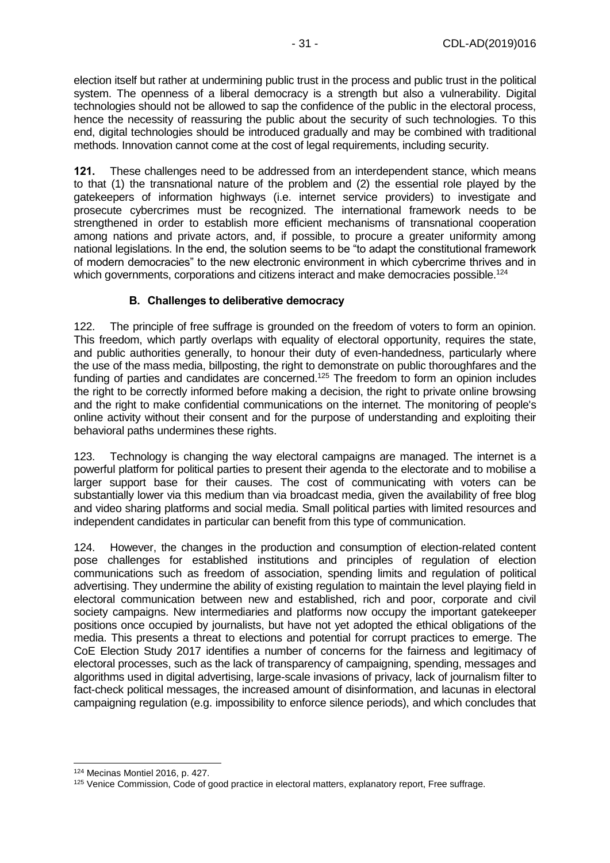election itself but rather at undermining public trust in the process and public trust in the political system. The openness of a liberal democracy is a strength but also a vulnerability. Digital technologies should not be allowed to sap the confidence of the public in the electoral process, hence the necessity of reassuring the public about the security of such technologies. To this end, digital technologies should be introduced gradually and may be combined with traditional methods. Innovation cannot come at the cost of legal requirements, including security.

**121.** These challenges need to be addressed from an interdependent stance, which means to that (1) the transnational nature of the problem and (2) the essential role played by the gatekeepers of information highways (i.e. internet service providers) to investigate and prosecute cybercrimes must be recognized. The international framework needs to be strengthened in order to establish more efficient mechanisms of transnational cooperation among nations and private actors, and, if possible, to procure a greater uniformity among national legislations. In the end, the solution seems to be "to adapt the constitutional framework of modern democracies" to the new electronic environment in which cybercrime thrives and in which governments, corporations and citizens interact and make democracies possible.<sup>124</sup>

#### **B. Challenges to deliberative democracy**

<span id="page-30-0"></span>122. The principle of free suffrage is grounded on the freedom of voters to form an opinion. This freedom, which partly overlaps with equality of electoral opportunity, requires the state, and public authorities generally, to honour their duty of even-handedness, particularly where the use of the mass media, billposting, the right to demonstrate on public thoroughfares and the funding of parties and candidates are concerned.<sup>125</sup> The freedom to form an opinion includes the right to be correctly informed before making a decision, the right to private online browsing and the right to make confidential communications on the internet. The monitoring of people's online activity without their consent and for the purpose of understanding and exploiting their behavioral paths undermines these rights.

123. Technology is changing the way electoral campaigns are managed. The internet is a powerful platform for political parties to present their agenda to the electorate and to mobilise a larger support base for their causes. The cost of communicating with voters can be substantially lower via this medium than via broadcast media, given the availability of free blog and video sharing platforms and social media. Small political parties with limited resources and independent candidates in particular can benefit from this type of communication.

124. However, the changes in the production and consumption of election-related content pose challenges for established institutions and principles of regulation of election communications such as freedom of association, spending limits and regulation of political advertising. They undermine the ability of existing regulation to maintain the level playing field in electoral communication between new and established, rich and poor, corporate and civil society campaigns. New intermediaries and platforms now occupy the important gatekeeper positions once occupied by journalists, but have not yet adopted the ethical obligations of the media. This presents a threat to elections and potential for corrupt practices to emerge. The CoE Election Study 2017 identifies a number of concerns for the fairness and legitimacy of electoral processes, such as the lack of transparency of campaigning, spending, messages and algorithms used in digital advertising, large-scale invasions of privacy, lack of journalism filter to fact-check political messages, the increased amount of disinformation, and lacunas in electoral campaigning regulation (e.g. impossibility to enforce silence periods), and which concludes that

<sup>-</sup><sup>124</sup> Mecinas Montiel 2016, p. 427.

<sup>125</sup> Venice Commission, Code of good practice in electoral matters, explanatory report, Free suffrage.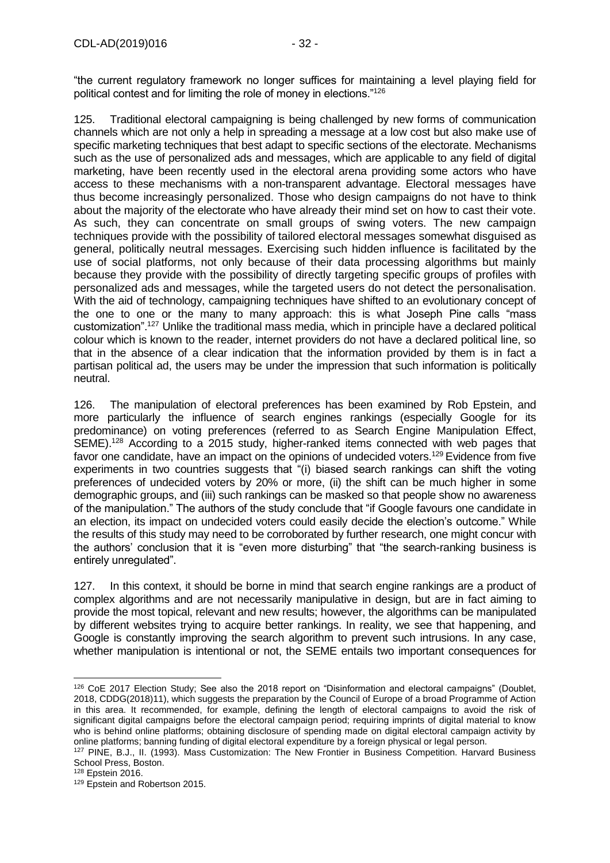"the current regulatory framework no longer suffices for maintaining a level playing field for political contest and for limiting the role of money in elections."<sup>126</sup>

125. Traditional electoral campaigning is being challenged by new forms of communication channels which are not only a help in spreading a message at a low cost but also make use of specific marketing techniques that best adapt to specific sections of the electorate. Mechanisms such as the use of personalized ads and messages, which are applicable to any field of digital marketing, have been recently used in the electoral arena providing some actors who have access to these mechanisms with a non-transparent advantage. Electoral messages have thus become increasingly personalized. Those who design campaigns do not have to think about the majority of the electorate who have already their mind set on how to cast their vote. As such, they can concentrate on small groups of swing voters. The new campaign techniques provide with the possibility of tailored electoral messages somewhat disguised as general, politically neutral messages. Exercising such hidden influence is facilitated by the use of social platforms, not only because of their data processing algorithms but mainly because they provide with the possibility of directly targeting specific groups of profiles with personalized ads and messages, while the targeted users do not detect the personalisation. With the aid of technology, campaigning techniques have shifted to an evolutionary concept of the one to one or the many to many approach: this is what Joseph Pine calls "mass customization".<sup>127</sup> Unlike the traditional mass media, which in principle have a declared political colour which is known to the reader, internet providers do not have a declared political line, so that in the absence of a clear indication that the information provided by them is in fact a partisan political ad, the users may be under the impression that such information is politically neutral.

126. The manipulation of electoral preferences has been examined by Rob Epstein, and more particularly the influence of search engines rankings (especially Google for its predominance) on voting preferences (referred to as Search Engine Manipulation Effect, SEME).<sup>128</sup> According to a 2015 study, higher-ranked items connected with web pages that favor one candidate, have an impact on the opinions of undecided voters.<sup>129</sup> Evidence from five experiments in two countries suggests that "(i) biased search rankings can shift the voting preferences of undecided voters by 20% or more, (ii) the shift can be much higher in some demographic groups, and (iii) such rankings can be masked so that people show no awareness of the manipulation." The authors of the study conclude that "if Google favours one candidate in an election, its impact on undecided voters could easily decide the election's outcome." While the results of this study may need to be corroborated by further research, one might concur with the authors' conclusion that it is "even more disturbing" that "the search-ranking business is entirely unregulated".

127. In this context, it should be borne in mind that search engine rankings are a product of complex algorithms and are not necessarily manipulative in design, but are in fact aiming to provide the most topical, relevant and new results; however, the algorithms can be manipulated by different websites trying to acquire better rankings. In reality, we see that happening, and Google is constantly improving the search algorithm to prevent such intrusions. In any case, whether manipulation is intentional or not, the SEME entails two important consequences for

<sup>-</sup><sup>126</sup> CoE 2017 Election Study; See also the 2018 report on "Disinformation and electoral campaigns" (Doublet, 2018, CDDG(2018)11), which suggests the preparation by the Council of Europe of a broad Programme of Action in this area. It recommended, for example, defining the length of electoral campaigns to avoid the risk of significant digital campaigns before the electoral campaign period; requiring imprints of digital material to know who is behind online platforms; obtaining disclosure of spending made on digital electoral campaign activity by online platforms; banning funding of digital electoral expenditure by a foreign physical or legal person.

<sup>127</sup> PINE, B.J., II. (1993). Mass Customization: The New Frontier in Business Competition. Harvard Business School Press, Boston.

<sup>128</sup> Epstein 2016.

<sup>129</sup> Epstein and Robertson 2015.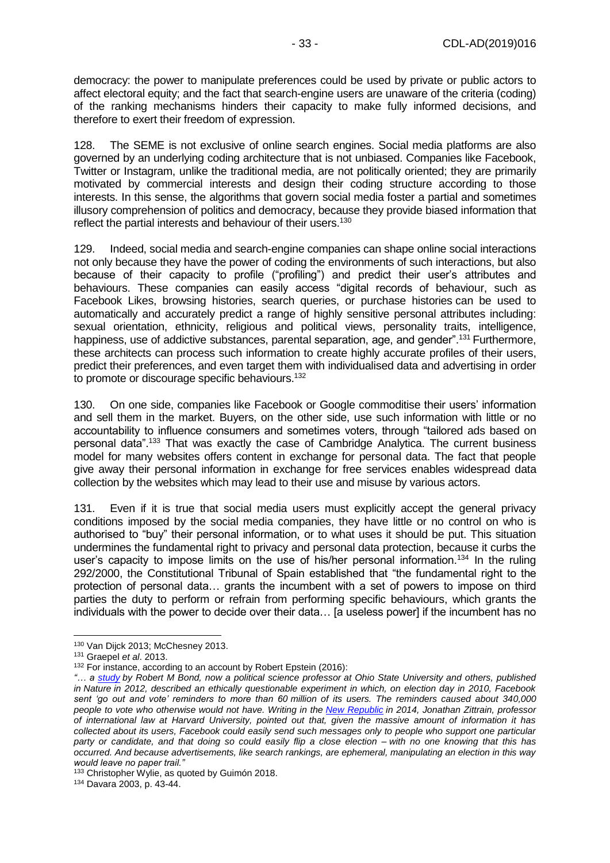democracy: the power to manipulate preferences could be used by private or public actors to affect electoral equity; and the fact that search-engine users are unaware of the criteria (coding) of the ranking mechanisms hinders their capacity to make fully informed decisions, and therefore to exert their freedom of expression.

128. The SEME is not exclusive of online search engines. Social media platforms are also governed by an underlying coding architecture that is not unbiased. Companies like Facebook, Twitter or Instagram, unlike the traditional media, are not politically oriented; they are primarily motivated by commercial interests and design their coding structure according to those interests. In this sense, the algorithms that govern social media foster a partial and sometimes illusory comprehension of politics and democracy, because they provide biased information that reflect the partial interests and behaviour of their users.<sup>130</sup>

129. Indeed, social media and search-engine companies can shape online social interactions not only because they have the power of coding the environments of such interactions, but also because of their capacity to profile ("profiling") and predict their user's attributes and behaviours. These companies can easily access "digital records of behaviour, such as Facebook Likes, browsing histories, search queries, or purchase histories can be used to automatically and accurately predict a range of highly sensitive personal attributes including: sexual orientation, ethnicity, religious and political views, personality traits, intelligence, happiness, use of addictive substances, parental separation, age, and gender".<sup>131</sup> Furthermore, these architects can process such information to create highly accurate profiles of their users, predict their preferences, and even target them with individualised data and advertising in order to promote or discourage specific behaviours.<sup>132</sup>

130. On one side, companies like Facebook or Google commoditise their users' information and sell them in the market. Buyers, on the other side, use such information with little or no accountability to influence consumers and sometimes voters, through "tailored ads based on personal data".<sup>133</sup> That was exactly the case of Cambridge Analytica. The current business model for many websites offers content in exchange for personal data. The fact that people give away their personal information in exchange for free services enables widespread data collection by the websites which may lead to their use and misuse by various actors.

131. Even if it is true that social media users must explicitly accept the general privacy conditions imposed by the social media companies, they have little or no control on who is authorised to "buy" their personal information, or to what uses it should be put. This situation undermines the fundamental right to privacy and personal data protection, because it curbs the user's capacity to impose limits on the use of his/her personal information.<sup>134</sup> In the ruling 292/2000, the Constitutional Tribunal of Spain established that "the fundamental right to the protection of personal data… grants the incumbent with a set of powers to impose on third parties the duty to perform or refrain from performing specific behaviours, which grants the individuals with the power to decide over their data... [a useless power] if the incumbent has no

<sup>-</sup><sup>130</sup> Van Dijck 2013; McChesney 2013.

<sup>131</sup> Graepel *et al*. 2013.

<sup>&</sup>lt;sup>132</sup> For instance, according to an account by Robert Epstein (2016):

*<sup>&</sup>quot;… a [study](http://www.nature.com/nature/journal/v489/n7415/abs/nature11421.html) by Robert M Bond, now a political science professor at Ohio State University and others, published in Nature in 2012, described an ethically questionable experiment in which, on election day in 2010, Facebook sent 'go out and vote' reminders to more than 60 million of its users. The reminders caused about 340,000 people to vote who otherwise would not have. Writing in the [New Republic](https://newrepublic.com/article/117878/information-fiduciary-solution-facebook-digital-gerrymandering) in 2014, Jonathan Zittrain, professor of international law at Harvard University, pointed out that, given the massive amount of information it has collected about its users, Facebook could easily send such messages only to people who support one particular party or candidate, and that doing so could easily flip a close election – with no one knowing that this has occurred. And because advertisements, like search rankings, are ephemeral, manipulating an election in this way would leave no paper trail."*

<sup>&</sup>lt;sup>133</sup> Christopher Wylie, as quoted by Guimón 2018.

<sup>134</sup> Davara 2003, p. 43-44.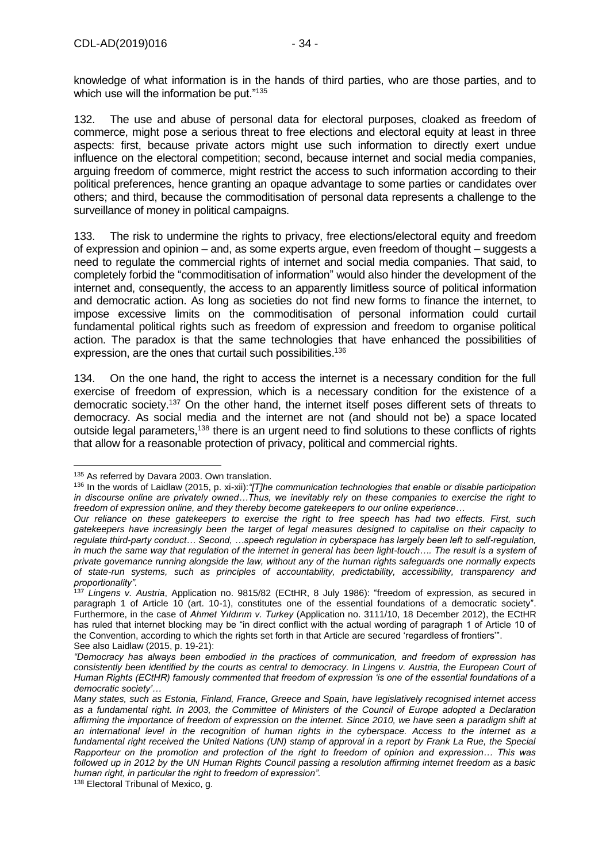knowledge of what information is in the hands of third parties, who are those parties, and to which use will the information be put."<sup>135</sup>

132. The use and abuse of personal data for electoral purposes, cloaked as freedom of commerce, might pose a serious threat to free elections and electoral equity at least in three aspects: first, because private actors might use such information to directly exert undue influence on the electoral competition; second, because internet and social media companies, arguing freedom of commerce, might restrict the access to such information according to their political preferences, hence granting an opaque advantage to some parties or candidates over others; and third, because the commoditisation of personal data represents a challenge to the surveillance of money in political campaigns.

133. The risk to undermine the rights to privacy, free elections/electoral equity and freedom of expression and opinion – and, as some experts argue, even freedom of thought – suggests a need to regulate the commercial rights of internet and social media companies. That said, to completely forbid the "commoditisation of information" would also hinder the development of the internet and, consequently, the access to an apparently limitless source of political information and democratic action. As long as societies do not find new forms to finance the internet, to impose excessive limits on the commoditisation of personal information could curtail fundamental political rights such as freedom of expression and freedom to organise political action. The paradox is that the same technologies that have enhanced the possibilities of expression, are the ones that curtail such possibilities.<sup>136</sup>

134. On the one hand, the right to access the internet is a necessary condition for the full exercise of freedom of expression, which is a necessary condition for the existence of a democratic society.<sup>137</sup> On the other hand, the internet itself poses different sets of threats to democracy. As social media and the internet are not (and should not be) a space located outside legal parameters,<sup>138</sup> there is an urgent need to find solutions to these conflicts of rights that allow for a reasonable protection of privacy, political and commercial rights.

<sup>-</sup><sup>135</sup> As referred by Davara 2003. Own translation.

<sup>136</sup> In the words of Laidlaw (2015, p. xi-xii):*"[T]he communication technologies that enable or disable participation in discourse online are privately owned…Thus, we inevitably rely on these companies to exercise the right to freedom of expression online, and they thereby become gatekeepers to our online experience…*

*Our reliance on these gatekeepers to exercise the right to free speech has had two effects. First, such gatekeepers have increasingly been the target of legal measures designed to capitalise on their capacity to regulate third-party conduct… Second, …speech regulation in cyberspace has largely been left to self-regulation, in much the same way that regulation of the internet in general has been light-touch.... The result is a system of private governance running alongside the law, without any of the human rights safeguards one normally expects of state-run systems, such as principles of accountability, predictability, accessibility, transparency and proportionality".* 

<sup>137</sup> *Lingens v. Austria*, Application no. 9815/82 (ECtHR, 8 July 1986): "freedom of expression, as secured in paragraph 1 of Article 10 (art. 10-1), constitutes one of the essential foundations of a democratic society". Furthermore, in the case of *Ahmet Yıldırım v. Turkey* (Application no. 3111/10, 18 December 2012), the ECtHR has ruled that internet blocking may be "in direct conflict with the actual wording of paragraph 1 of Article 10 of the Convention, according to which the rights set forth in that Article are secured 'regardless of frontiers'". See also Laidlaw (2015, p. 19-21):

*<sup>&</sup>quot;Democracy has always been embodied in the practices of communication, and freedom of expression has consistently been identified by the courts as central to democracy. In Lingens v. Austria, the European Court of Human Rights (ECtHR) famously commented that freedom of expression 'is one of the essential foundations of a democratic society'…* 

*Many states, such as Estonia, Finland, France, Greece and Spain, have legislatively recognised internet access as a fundamental right. In 2003, the Committee of Ministers of the Council of Europe adopted a Declaration affirming the importance of freedom of expression on the internet. Since 2010, we have seen a paradigm shift at an international level in the recognition of human rights in the cyberspace. Access to the internet as a fundamental right received the United Nations (UN) stamp of approval in a report by Frank La Rue, the Special Rapporteur on the promotion and protection of the right to freedom of opinion and expression… This was followed up in 2012 by the UN Human Rights Council passing a resolution affirming internet freedom as a basic human right, in particular the right to freedom of expression".*

<sup>138</sup> Electoral Tribunal of Mexico, g.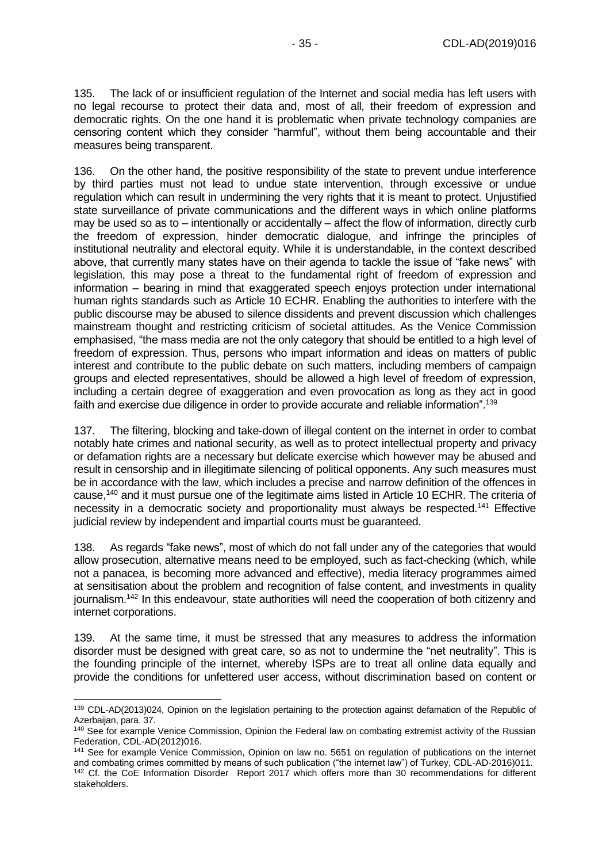135. The lack of or insufficient regulation of the Internet and social media has left users with no legal recourse to protect their data and, most of all, their freedom of expression and democratic rights. On the one hand it is problematic when private technology companies are censoring content which they consider "harmful", without them being accountable and their measures being transparent.

136. On the other hand, the positive responsibility of the state to prevent undue interference by third parties must not lead to undue state intervention, through excessive or undue regulation which can result in undermining the very rights that it is meant to protect. Unjustified state surveillance of private communications and the different ways in which online platforms may be used so as to – intentionally or accidentally – affect the flow of information, directly curb the freedom of expression, hinder democratic dialogue, and infringe the principles of institutional neutrality and electoral equity. While it is understandable, in the context described above, that currently many states have on their agenda to tackle the issue of "fake news" with legislation, this may pose a threat to the fundamental right of freedom of expression and information – bearing in mind that exaggerated speech enjoys protection under international human rights standards such as Article 10 ECHR. Enabling the authorities to interfere with the public discourse may be abused to silence dissidents and prevent discussion which challenges mainstream thought and restricting criticism of societal attitudes. As the Venice Commission emphasised, "the mass media are not the only category that should be entitled to a high level of freedom of expression. Thus, persons who impart information and ideas on matters of public interest and contribute to the public debate on such matters, including members of campaign groups and elected representatives, should be allowed a high level of freedom of expression, including a certain degree of exaggeration and even provocation as long as they act in good faith and exercise due diligence in order to provide accurate and reliable information".<sup>139</sup>

137. The filtering, blocking and take-down of illegal content on the internet in order to combat notably hate crimes and national security, as well as to protect intellectual property and privacy or defamation rights are a necessary but delicate exercise which however may be abused and result in censorship and in illegitimate silencing of political opponents. Any such measures must be in accordance with the law, which includes a precise and narrow definition of the offences in cause,<sup>140</sup> and it must pursue one of the legitimate aims listed in Article 10 ECHR. The criteria of necessity in a democratic society and proportionality must always be respected.<sup>141</sup> Effective judicial review by independent and impartial courts must be guaranteed.

138. As regards "fake news", most of which do not fall under any of the categories that would allow prosecution, alternative means need to be employed, such as fact-checking (which, while not a panacea, is becoming more advanced and effective), media literacy programmes aimed at sensitisation about the problem and recognition of false content, and investments in quality journalism.<sup>142</sup> In this endeavour, state authorities will need the cooperation of both citizenry and internet corporations.

139. At the same time, it must be stressed that any measures to address the information disorder must be designed with great care, so as not to undermine the "net neutrality". This is the founding principle of the internet, whereby ISPs are to treat all online data equally and provide the conditions for unfettered user access, without discrimination based on content or

<sup>-</sup>139 CDL-AD(2013)024, Opinion on the legislation pertaining to the protection against defamation of the Republic of Azerbaijan, para. 37.

<sup>&</sup>lt;sup>140</sup> See for example Venice Commission, Opinion the Federal law on combating extremist activity of the Russian Federation, CDL-AD(2012)016.

<sup>141</sup> See for example Venice Commission, Opinion on law no. 5651 on regulation of publications on the internet and combating crimes committed by means of such publication ("the internet law") of Turkey, CDL-AD-2016)011.

<sup>&</sup>lt;sup>142</sup> Cf. the CoE Information Disorder Report 2017 which offers more than 30 recommendations for different stakeholders.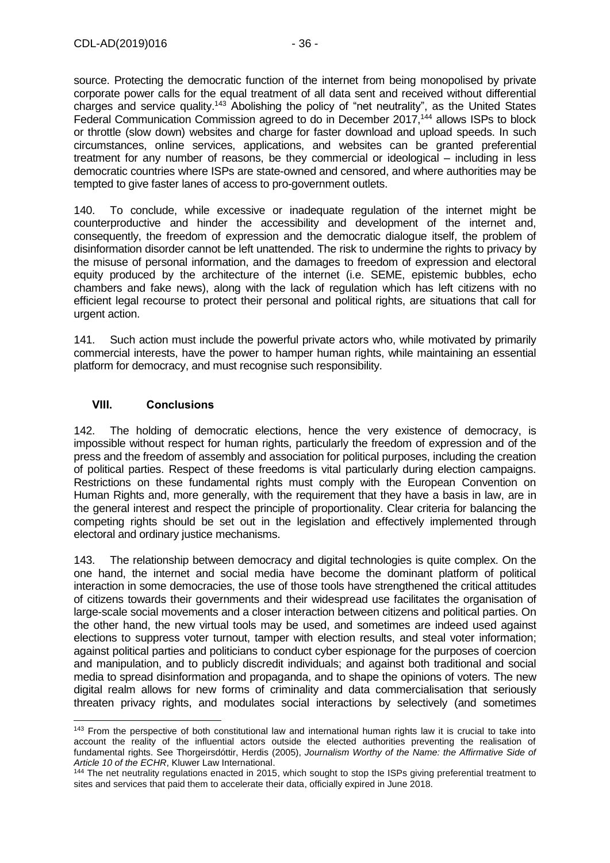source. Protecting the democratic function of the internet from being monopolised by private corporate power calls for the equal treatment of all data sent and received without differential charges and service quality.<sup>143</sup> Abolishing the policy of "net neutrality", as the United States Federal Communication Commission agreed to do in December 2017,<sup>144</sup> allows ISPs to block or throttle (slow down) websites and charge for faster download and upload speeds. In such circumstances, online services, applications, and websites can be granted preferential treatment for any number of reasons, be they commercial or ideological – including in less democratic countries where ISPs are state-owned and censored, and where authorities may be tempted to give faster lanes of access to pro-government outlets.

140. To conclude, while excessive or inadequate regulation of the internet might be counterproductive and hinder the accessibility and development of the internet and, consequently, the freedom of expression and the democratic dialogue itself, the problem of disinformation disorder cannot be left unattended. The risk to undermine the rights to privacy by the misuse of personal information, and the damages to freedom of expression and electoral equity produced by the architecture of the internet (i.e. SEME, epistemic bubbles, echo chambers and fake news), along with the lack of regulation which has left citizens with no efficient legal recourse to protect their personal and political rights, are situations that call for urgent action.

141. Such action must include the powerful private actors who, while motivated by primarily commercial interests, have the power to hamper human rights, while maintaining an essential platform for democracy, and must recognise such responsibility.

#### <span id="page-35-0"></span>**VIII. Conclusions**

142. The holding of democratic elections, hence the very existence of democracy, is impossible without respect for human rights, particularly the freedom of expression and of the press and the freedom of assembly and association for political purposes, including the creation of political parties. Respect of these freedoms is vital particularly during election campaigns. Restrictions on these fundamental rights must comply with the European Convention on Human Rights and, more generally, with the requirement that they have a basis in law, are in the general interest and respect the principle of proportionality. Clear criteria for balancing the competing rights should be set out in the legislation and effectively implemented through electoral and ordinary justice mechanisms.

143. The relationship between democracy and digital technologies is quite complex. On the one hand, the internet and social media have become the dominant platform of political interaction in some democracies, the use of those tools have strengthened the critical attitudes of citizens towards their governments and their widespread use facilitates the organisation of large-scale social movements and a closer interaction between citizens and political parties. On the other hand, the new virtual tools may be used, and sometimes are indeed used against elections to suppress voter turnout, tamper with election results, and steal voter information; against political parties and politicians to conduct cyber espionage for the purposes of coercion and manipulation, and to publicly discredit individuals; and against both traditional and social media to spread disinformation and propaganda, and to shape the opinions of voters. The new digital realm allows for new forms of criminality and data commercialisation that seriously threaten privacy rights, and modulates social interactions by selectively (and sometimes

<sup>-</sup><sup>143</sup> From the perspective of both constitutional law and international human rights law it is crucial to take into account the reality of the influential actors outside the elected authorities preventing the realisation of fundamental rights. See Thorgeirsdóttir, Herdis (2005), *Journalism Worthy of the Name: the Affirmative Side of Article 10 of the ECHR*, Kluwer Law International.

<sup>&</sup>lt;sup>144</sup> The net neutrality regulations enacted in 2015, which sought to stop the ISPs giving preferential treatment to sites and services that paid them to accelerate their data, officially expired in June 2018.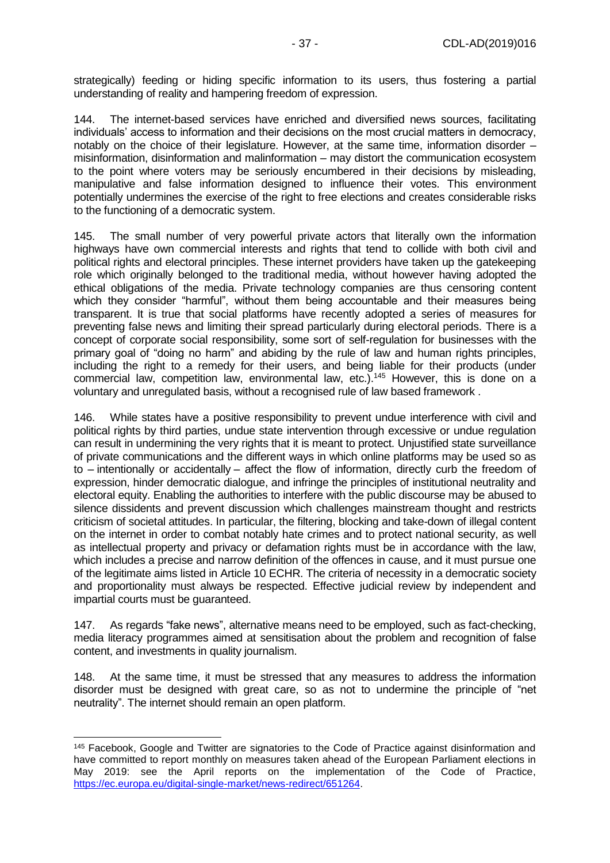strategically) feeding or hiding specific information to its users, thus fostering a partial understanding of reality and hampering freedom of expression.

144. The internet-based services have enriched and diversified news sources, facilitating individuals' access to information and their decisions on the most crucial matters in democracy, notably on the choice of their legislature. However, at the same time, information disorder – misinformation, disinformation and malinformation – may distort the communication ecosystem to the point where voters may be seriously encumbered in their decisions by misleading, manipulative and false information designed to influence their votes. This environment potentially undermines the exercise of the right to free elections and creates considerable risks to the functioning of a democratic system.

145. The small number of very powerful private actors that literally own the information highways have own commercial interests and rights that tend to collide with both civil and political rights and electoral principles. These internet providers have taken up the gatekeeping role which originally belonged to the traditional media, without however having adopted the ethical obligations of the media. Private technology companies are thus censoring content which they consider "harmful", without them being accountable and their measures being transparent. It is true that social platforms have recently adopted a series of measures for preventing false news and limiting their spread particularly during electoral periods. There is a concept of corporate social responsibility, some sort of self-regulation for businesses with the primary goal of "doing no harm" and abiding by the rule of law and human rights principles, including the right to a remedy for their users, and being liable for their products (under commercial law, competition law, environmental law, etc.). <sup>145</sup> However, this is done on a voluntary and unregulated basis, without a recognised rule of law based framework .

146. While states have a positive responsibility to prevent undue interference with civil and political rights by third parties, undue state intervention through excessive or undue regulation can result in undermining the very rights that it is meant to protect. Unjustified state surveillance of private communications and the different ways in which online platforms may be used so as to – intentionally or accidentally – affect the flow of information, directly curb the freedom of expression, hinder democratic dialogue, and infringe the principles of institutional neutrality and electoral equity. Enabling the authorities to interfere with the public discourse may be abused to silence dissidents and prevent discussion which challenges mainstream thought and restricts criticism of societal attitudes. In particular, the filtering, blocking and take-down of illegal content on the internet in order to combat notably hate crimes and to protect national security, as well as intellectual property and privacy or defamation rights must be in accordance with the law, which includes a precise and narrow definition of the offences in cause, and it must pursue one of the legitimate aims listed in Article 10 ECHR. The criteria of necessity in a democratic society and proportionality must always be respected. Effective judicial review by independent and impartial courts must be guaranteed.

147. As regards "fake news", alternative means need to be employed, such as fact-checking, media literacy programmes aimed at sensitisation about the problem and recognition of false content, and investments in quality journalism.

148. At the same time, it must be stressed that any measures to address the information disorder must be designed with great care, so as not to undermine the principle of "net neutrality". The internet should remain an open platform.

<sup>&</sup>lt;sup>145</sup> Facebook, Google and Twitter are signatories to the Code of Practice against disinformation and have committed to report monthly on measures taken ahead of the European Parliament elections in May 2019: see the April reports on the implementation of the Code of Practice, [https://ec.europa.eu/digital-single-market/news-redirect/651264.](https://ec.europa.eu/digital-single-market/news-redirect/651264)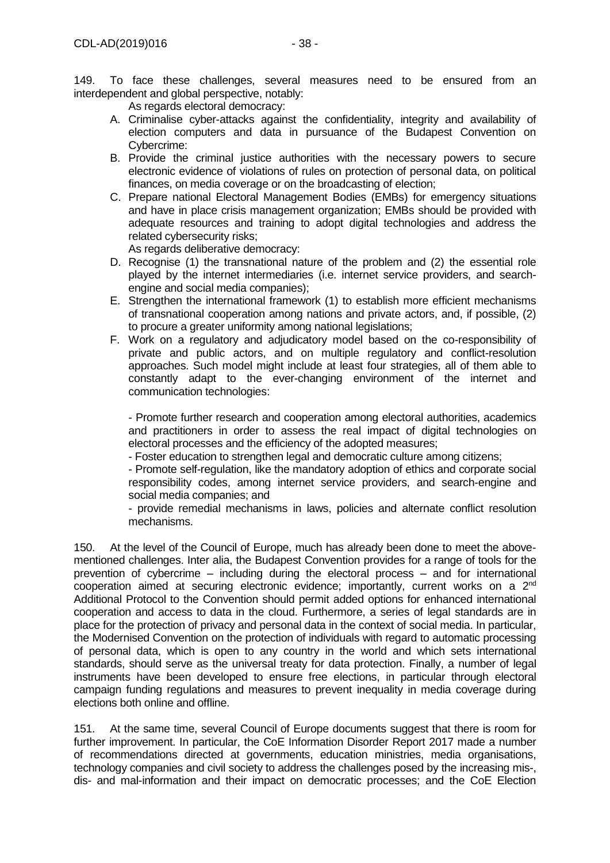149. To face these challenges, several measures need to be ensured from an interdependent and global perspective, notably:

As regards electoral democracy:

- A. Criminalise cyber-attacks against the confidentiality, integrity and availability of election computers and data in pursuance of the Budapest Convention on Cybercrime:
- B. Provide the criminal justice authorities with the necessary powers to secure electronic evidence of violations of rules on protection of personal data, on political finances, on media coverage or on the broadcasting of election;
- C. Prepare national Electoral Management Bodies (EMBs) for emergency situations and have in place crisis management organization; EMBs should be provided with adequate resources and training to adopt digital technologies and address the related cybersecurity risks;

As regards deliberative democracy:

- D. Recognise (1) the transnational nature of the problem and (2) the essential role played by the internet intermediaries (i.e. internet service providers, and searchengine and social media companies);
- E. Strengthen the international framework (1) to establish more efficient mechanisms of transnational cooperation among nations and private actors, and, if possible, (2) to procure a greater uniformity among national legislations;
- F. Work on a regulatory and adjudicatory model based on the co-responsibility of private and public actors, and on multiple regulatory and conflict-resolution approaches. Such model might include at least four strategies, all of them able to constantly adapt to the ever-changing environment of the internet and communication technologies:

- Promote further research and cooperation among electoral authorities, academics and practitioners in order to assess the real impact of digital technologies on electoral processes and the efficiency of the adopted measures;

- Foster education to strengthen legal and democratic culture among citizens;

- Promote self-regulation, like the mandatory adoption of ethics and corporate social responsibility codes, among internet service providers, and search-engine and social media companies; and

- provide remedial mechanisms in laws, policies and alternate conflict resolution mechanisms.

150. At the level of the Council of Europe, much has already been done to meet the abovementioned challenges. Inter alia, the Budapest Convention provides for a range of tools for the prevention of cybercrime – including during the electoral process – and for international cooperation aimed at securing electronic evidence; importantly, current works on a 2nd Additional Protocol to the Convention should permit added options for enhanced international cooperation and access to data in the cloud. Furthermore, a series of legal standards are in place for the protection of privacy and personal data in the context of social media. In particular, the Modernised Convention on the protection of individuals with regard to automatic processing of personal data, which is open to any country in the world and which sets international standards, should serve as the universal treaty for data protection. Finally, a number of legal instruments have been developed to ensure free elections, in particular through electoral campaign funding regulations and measures to prevent inequality in media coverage during elections both online and offline.

151. At the same time, several Council of Europe documents suggest that there is room for further improvement. In particular, the CoE Information Disorder Report 2017 made a number of recommendations directed at governments, education ministries, media organisations, technology companies and civil society to address the challenges posed by the increasing mis-, dis- and mal-information and their impact on democratic processes; and the CoE Election